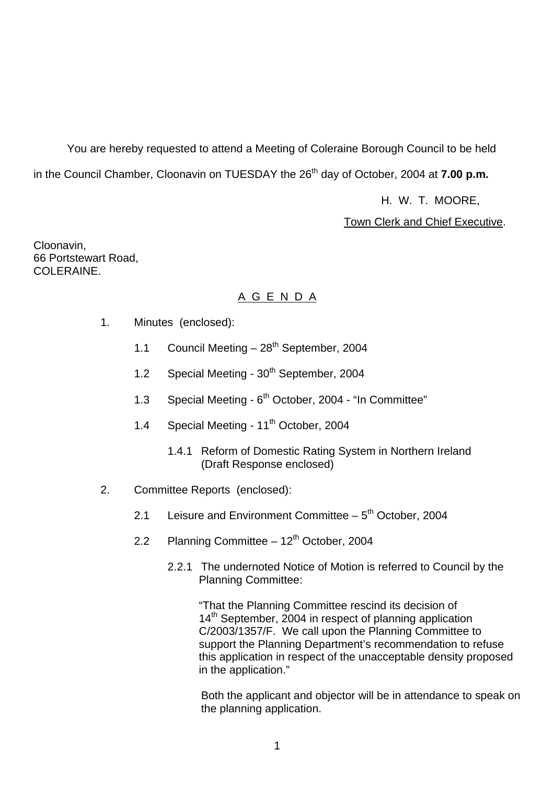You are hereby requested to attend a Meeting of Coleraine Borough Council to be held in the Council Chamber, Cloonavin on TUESDAY the 26<sup>th</sup> day of October, 2004 at **7.00 p.m.** 

H. W. T. MOORE,

Town Clerk and Chief Executive.

Cloonavin, 66 Portstewart Road, COLERAINE.

## A G E N D A

- 1. Minutes (enclosed):
	- 1.1 Council Meeting  $-28^{th}$  September, 2004
	- 1.2 Special Meeting 30<sup>th</sup> September, 2004
	- 1.3 Special Meeting 6<sup>th</sup> October, 2004 "In Committee"
	- 1.4 Special Meeting 11<sup>th</sup> October, 2004
		- 1.4.1 Reform of Domestic Rating System in Northern Ireland (Draft Response enclosed)
- 2. Committee Reports (enclosed):
	- 2.1 Leisure and Environment Committee  $-5<sup>th</sup>$  October, 2004
	- 2.2 Planning Committee  $12<sup>th</sup>$  October, 2004
		- 2.2.1 The undernoted Notice of Motion is referred to Council by the Planning Committee:

"That the Planning Committee rescind its decision of  $14<sup>th</sup>$  September, 2004 in respect of planning application C/2003/1357/F. We call upon the Planning Committee to support the Planning Department's recommendation to refuse this application in respect of the unacceptable density proposed in the application."

 Both the applicant and objector will be in attendance to speak on the planning application.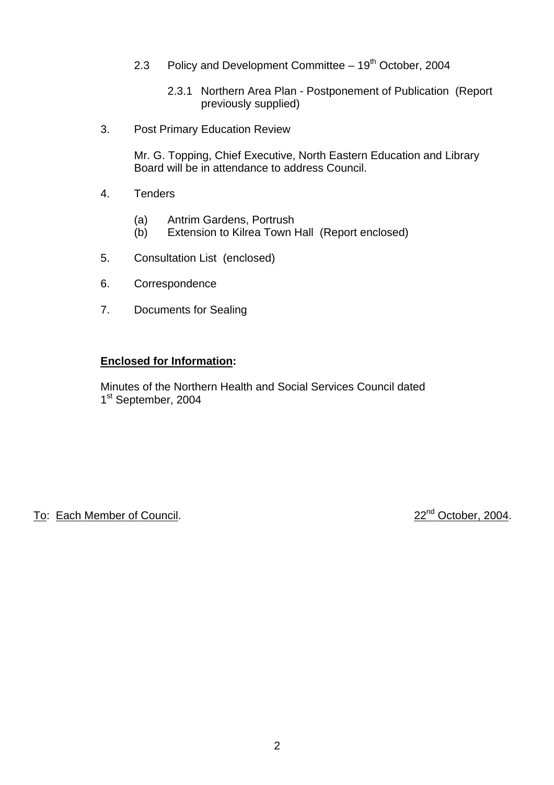- 2.3 Policy and Development Committee  $-19<sup>th</sup>$  October, 2004
	- 2.3.1 Northern Area Plan Postponement of Publication (Report previously supplied)
- 3. Post Primary Education Review

Mr. G. Topping, Chief Executive, North Eastern Education and Library Board will be in attendance to address Council.

- 4. Tenders
	- (a) Antrim Gardens, Portrush
	- (b) Extension to Kilrea Town Hall (Report enclosed)
- 5. Consultation List (enclosed)
- 6. Correspondence
- 7. Documents for Sealing

#### **Enclosed for Information:**

Minutes of the Northern Health and Social Services Council dated 1<sup>st</sup> September, 2004

To: Each Member of Council. 22nd October, 2004.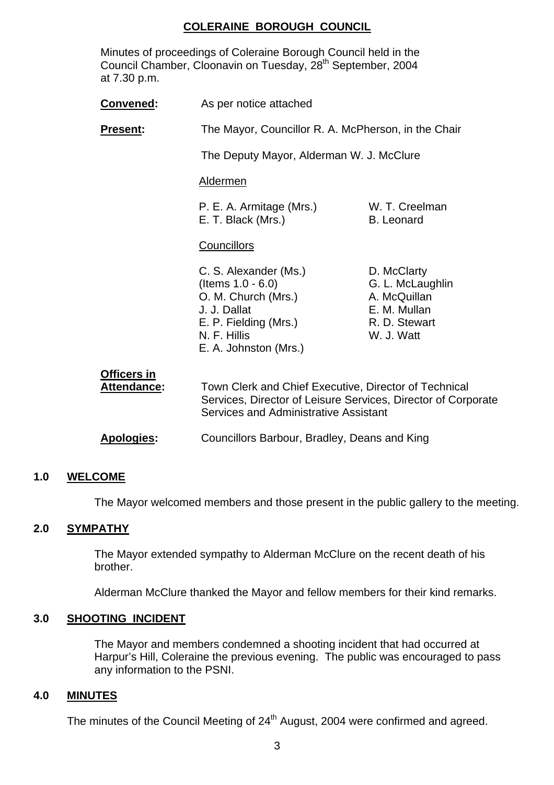#### **COLERAINE BOROUGH COUNCIL**

 Minutes of proceedings of Coleraine Borough Council held in the Council Chamber, Cloonavin on Tuesday, 28<sup>th</sup> September, 2004 at 7.30 p.m.

| <b>Convened:</b>                         | As per notice attached                                                                                                                                                 |                                                                                                |
|------------------------------------------|------------------------------------------------------------------------------------------------------------------------------------------------------------------------|------------------------------------------------------------------------------------------------|
| Present:                                 | The Mayor, Councillor R. A. McPherson, in the Chair                                                                                                                    |                                                                                                |
|                                          | The Deputy Mayor, Alderman W. J. McClure                                                                                                                               |                                                                                                |
|                                          | <b>Aldermen</b>                                                                                                                                                        |                                                                                                |
|                                          | P. E. A. Armitage (Mrs.)<br>E. T. Black (Mrs.)                                                                                                                         | W. T. Creelman<br><b>B.</b> Leonard                                                            |
|                                          | <b>Councillors</b>                                                                                                                                                     |                                                                                                |
|                                          | C. S. Alexander (Ms.)<br>(Items $1.0 - 6.0$ )<br>O. M. Church (Mrs.)<br>J. J. Dallat<br>E. P. Fielding (Mrs.)<br>N. F. Hillis<br>E. A. Johnston (Mrs.)                 | D. McClarty<br>G. L. McLaughlin<br>A. McQuillan<br>E. M. Mullan<br>R. D. Stewart<br>W. J. Watt |
| <b>Officers in</b><br><b>Attendance:</b> | Town Clerk and Chief Executive, Director of Technical<br>Services, Director of Leisure Services, Director of Corporate<br><b>Services and Administrative Assistant</b> |                                                                                                |
| <b>Apologies:</b>                        | Councillors Barbour, Bradley, Deans and King                                                                                                                           |                                                                                                |

#### **1.0 WELCOME**

The Mayor welcomed members and those present in the public gallery to the meeting.

#### **2.0 SYMPATHY**

The Mayor extended sympathy to Alderman McClure on the recent death of his brother.

Alderman McClure thanked the Mayor and fellow members for their kind remarks.

#### **3.0 SHOOTING INCIDENT**

The Mayor and members condemned a shooting incident that had occurred at Harpur's Hill, Coleraine the previous evening. The public was encouraged to pass any information to the PSNI.

#### **4.0 MINUTES**

The minutes of the Council Meeting of 24<sup>th</sup> August, 2004 were confirmed and agreed.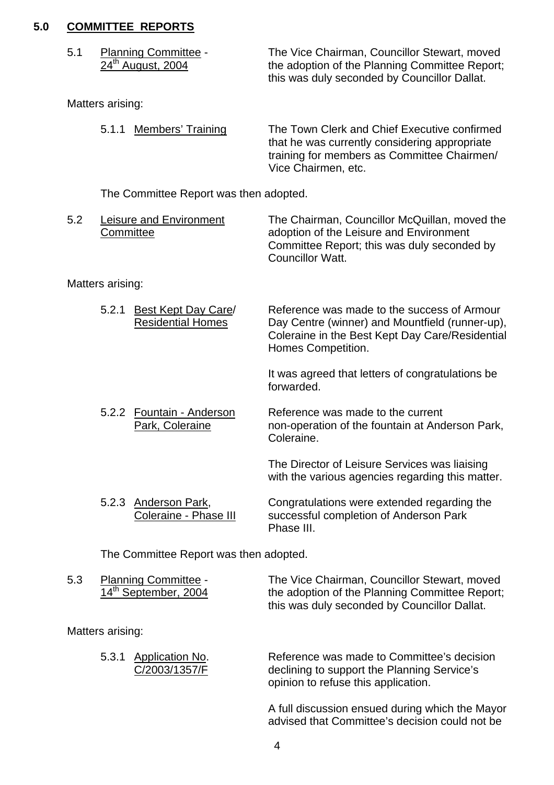#### **5.0 COMMITTEE REPORTS**

| <b>Planning Committee -</b>   | The Vice Chairman, Councillor Stewart, moved   |
|-------------------------------|------------------------------------------------|
| 24 <sup>th</sup> August, 2004 | the adoption of the Planning Committee Report; |
|                               | this was duly seconded by Councillor Dallat.   |

Matters arising:

| 5.1.1 Members' Training | The Town Clerk and Chief Executive confirmed<br>that he was currently considering appropriate<br>training for members as Committee Chairmen/<br>Vice Chairmen, etc. |
|-------------------------|---------------------------------------------------------------------------------------------------------------------------------------------------------------------|
|                         |                                                                                                                                                                     |

The Committee Report was then adopted.

| 5.2 | Leisure and Environment | The Chairman, Councillor McQuillan, moved the |
|-----|-------------------------|-----------------------------------------------|
|     | Committee               | adoption of the Leisure and Environment       |
|     |                         | Committee Report; this was duly seconded by   |
|     |                         | Councillor Watt.                              |

Matters arising:

| 5.2.1 | Best Kept Day Care/<br><b>Residential Homes</b> | Reference was made to the success of Armour<br>Day Centre (winner) and Mountfield (runner-up), |
|-------|-------------------------------------------------|------------------------------------------------------------------------------------------------|
|       |                                                 | Coleraine in the Best Kept Day Care/Residential<br>Homes Competition.                          |

 It was agreed that letters of congratulations be forwarded.

5.2.2 Fountain - Anderson<br>Park, Coleraine mon-operation of the fountain at And non-operation of the fountain at Anderson Park, Coleraine.

> The Director of Leisure Services was liaising with the various agencies regarding this matter.

5.2.3 Anderson Park, Congratulations were extended regarding the Coleraine - Phase III successful completion of Anderson Park Phase III.

The Committee Report was then adopted.

| 5.3 | <b>Planning Committee -</b> | The Vice Chairman, Councillor Stewart, moved   |
|-----|-----------------------------|------------------------------------------------|
|     | 14th September, 2004        | the adoption of the Planning Committee Report; |
|     |                             | this was duly seconded by Councillor Dallat.   |

Matters arising:

| 5.3.1 Application No. | Reference was made to Committee's decision  |
|-----------------------|---------------------------------------------|
| C/2003/1357/F         | declining to support the Planning Service's |
|                       | opinion to refuse this application.         |

 A full discussion ensued during which the Mayor advised that Committee's decision could not be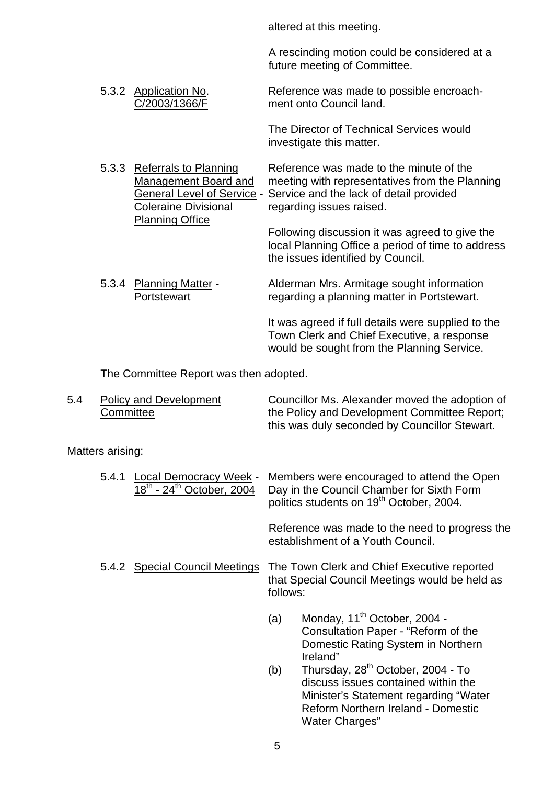altered at this meeting.

A rescinding motion could be considered at a future meeting of Committee.

 5.3.2 Application No. Reference was made to possible encroach- C/2003/1366/F ment onto Council land.

> The Director of Technical Services would investigate this matter.

5.3.3 Referrals to Planning Reference was made to the minute of the Management Board and meeting with representatives from the Planning General Level of Service - Service and the lack of detail provided Coleraine Divisional regarding issues raised. Planning Office

 Following discussion it was agreed to give the local Planning Office a period of time to address the issues identified by Council.

 5.3.4 Planning Matter - Alderman Mrs. Armitage sought information Portstewart regarding a planning matter in Portstewart.

> It was agreed if full details were supplied to the Town Clerk and Chief Executive, a response would be sought from the Planning Service.

The Committee Report was then adopted.

| 5.4 | <b>Policy and Development</b> | Councillor Ms. Alexander moved the adoption of |
|-----|-------------------------------|------------------------------------------------|
|     | Committee                     | the Policy and Development Committee Report;   |
|     |                               | this was duly seconded by Councillor Stewart.  |

Matters arising:

| 5.4.1 | <b>Local Democracy Week -</b><br>$18^{th}$ - 24 <sup>th</sup> October, 2004 | Members were encouraged to attend the Open<br>Day in the Council Chamber for Sixth Form<br>politics students on 19 <sup>th</sup> October, 2004. |
|-------|-----------------------------------------------------------------------------|-------------------------------------------------------------------------------------------------------------------------------------------------|
|       |                                                                             | Reference was made to the need to progress the<br>establishment of a Youth Council.                                                             |
|       | 5.4.2 Special Council Meetings                                              | The Town Clerk and Chief Executive reported<br>that Special Council Meetings would be held as<br>follows:                                       |
|       |                                                                             | Monday, 11 <sup>th</sup> October, 2004 -<br>(a)<br>Consultation Paper - "Reform of the<br>Domestic Rating System in Northern<br>Ireland"        |

(b) Thursday,  $28<sup>th</sup>$  October, 2004 - To discuss issues contained within the Minister's Statement regarding "Water Reform Northern Ireland - Domestic Water Charges"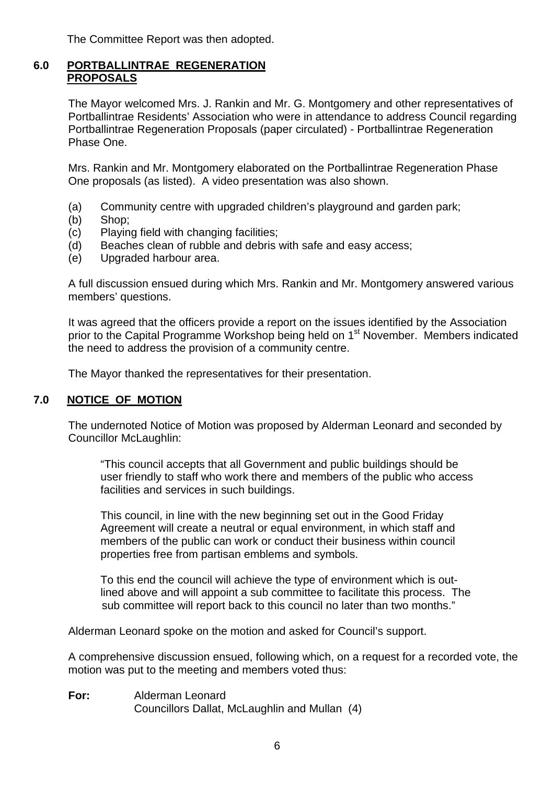The Committee Report was then adopted.

#### **6.0 PORTBALLINTRAE REGENERATION PROPOSALS**

The Mayor welcomed Mrs. J. Rankin and Mr. G. Montgomery and other representatives of Portballintrae Residents' Association who were in attendance to address Council regarding Portballintrae Regeneration Proposals (paper circulated) - Portballintrae Regeneration Phase One.

Mrs. Rankin and Mr. Montgomery elaborated on the Portballintrae Regeneration Phase One proposals (as listed). A video presentation was also shown.

- (a) Community centre with upgraded children's playground and garden park;
- (b) Shop;
- (c) Playing field with changing facilities;
- (d) Beaches clean of rubble and debris with safe and easy access;
- (e) Upgraded harbour area.

A full discussion ensued during which Mrs. Rankin and Mr. Montgomery answered various members' questions.

It was agreed that the officers provide a report on the issues identified by the Association prior to the Capital Programme Workshop being held on 1<sup>st</sup> November. Members indicated the need to address the provision of a community centre.

The Mayor thanked the representatives for their presentation.

#### **7.0 NOTICE OF MOTION**

The undernoted Notice of Motion was proposed by Alderman Leonard and seconded by Councillor McLaughlin:

"This council accepts that all Government and public buildings should be user friendly to staff who work there and members of the public who access facilities and services in such buildings.

 This council, in line with the new beginning set out in the Good Friday Agreement will create a neutral or equal environment, in which staff and members of the public can work or conduct their business within council properties free from partisan emblems and symbols.

 To this end the council will achieve the type of environment which is out lined above and will appoint a sub committee to facilitate this process. The sub committee will report back to this council no later than two months."

Alderman Leonard spoke on the motion and asked for Council's support.

A comprehensive discussion ensued, following which, on a request for a recorded vote, the motion was put to the meeting and members voted thus:

**For:** Alderman Leonard Councillors Dallat, McLaughlin and Mullan (4)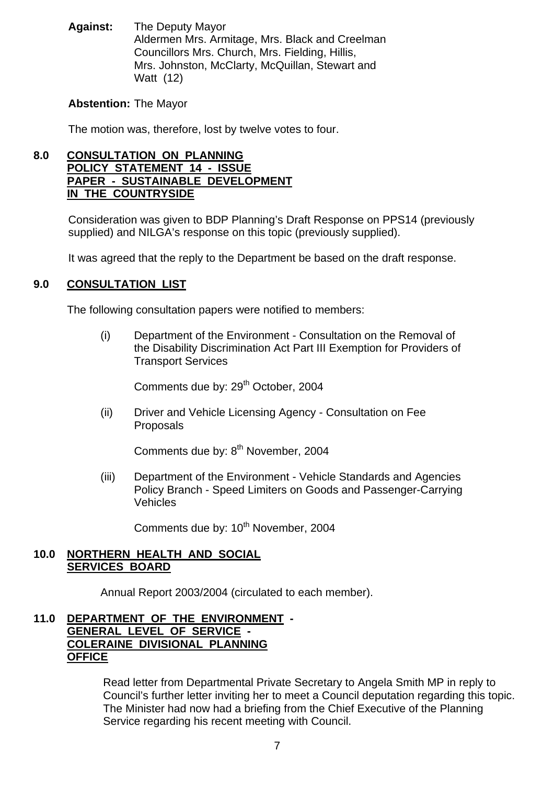**Against:** The Deputy Mayor Aldermen Mrs. Armitage, Mrs. Black and Creelman Councillors Mrs. Church, Mrs. Fielding, Hillis, Mrs. Johnston, McClarty, McQuillan, Stewart and Watt (12)

#### **Abstention:** The Mayor

The motion was, therefore, lost by twelve votes to four.

#### **8.0 CONSULTATION ON PLANNING POLICY STATEMENT 14 - ISSUE PAPER - SUSTAINABLE DEVELOPMENT IN THE COUNTRYSIDE**

Consideration was given to BDP Planning's Draft Response on PPS14 (previously supplied) and NILGA's response on this topic (previously supplied).

It was agreed that the reply to the Department be based on the draft response.

## **9.0 CONSULTATION LIST**

The following consultation papers were notified to members:

 (i) Department of the Environment - Consultation on the Removal of the Disability Discrimination Act Part III Exemption for Providers of Transport Services

Comments due by: 29<sup>th</sup> October, 2004

 (ii) Driver and Vehicle Licensing Agency - Consultation on Fee Proposals

Comments due by: 8<sup>th</sup> November, 2004

 (iii) Department of the Environment - Vehicle Standards and Agencies Policy Branch - Speed Limiters on Goods and Passenger-Carrying Vehicles

Comments due by: 10<sup>th</sup> November, 2004

#### **10.0 NORTHERN HEALTH AND SOCIAL SERVICES BOARD**

Annual Report 2003/2004 (circulated to each member).

#### **11.0 DEPARTMENT OF THE ENVIRONMENT - GENERAL LEVEL OF SERVICE - COLERAINE DIVISIONAL PLANNING OFFICE**

Read letter from Departmental Private Secretary to Angela Smith MP in reply to Council's further letter inviting her to meet a Council deputation regarding this topic. The Minister had now had a briefing from the Chief Executive of the Planning Service regarding his recent meeting with Council.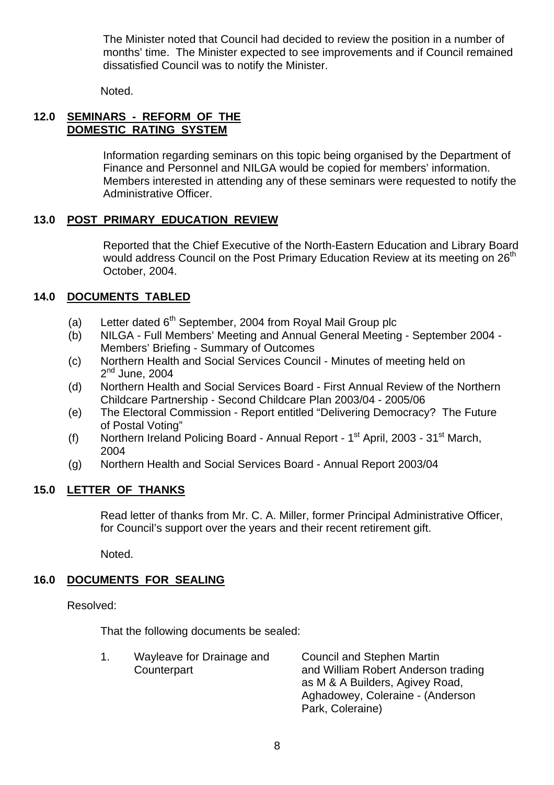The Minister noted that Council had decided to review the position in a number of months' time. The Minister expected to see improvements and if Council remained dissatisfied Council was to notify the Minister.

Noted.

### **12.0 SEMINARS - REFORM OF THE DOMESTIC RATING SYSTEM**

Information regarding seminars on this topic being organised by the Department of Finance and Personnel and NILGA would be copied for members' information. Members interested in attending any of these seminars were requested to notify the Administrative Officer.

## **13.0 POST PRIMARY EDUCATION REVIEW**

Reported that the Chief Executive of the North-Eastern Education and Library Board would address Council on the Post Primary Education Review at its meeting on 26<sup>th</sup> October, 2004.

## **14.0 DOCUMENTS TABLED**

- (a) Letter dated  $6<sup>th</sup>$  September, 2004 from Royal Mail Group plc
- (b) NILGA Full Members' Meeting and Annual General Meeting September 2004 Members' Briefing - Summary of Outcomes
- (c) Northern Health and Social Services Council Minutes of meeting held on  $2<sup>nd</sup>$  June, 2004
- (d) Northern Health and Social Services Board First Annual Review of the Northern Childcare Partnership - Second Childcare Plan 2003/04 - 2005/06
- (e) The Electoral Commission Report entitled "Delivering Democracy? The Future of Postal Voting"
- (f) Northern Ireland Policing Board Annual Report  $1<sup>st</sup>$  April, 2003 31 $<sup>st</sup>$  March,</sup> 2004
- (g) Northern Health and Social Services Board Annual Report 2003/04

## **15.0 LETTER OF THANKS**

 Read letter of thanks from Mr. C. A. Miller, former Principal Administrative Officer, for Council's support over the years and their recent retirement gift.

Noted.

## **16.0 DOCUMENTS FOR SEALING**

Resolved:

That the following documents be sealed:

Park, Coleraine)

| Wayleave for Drainage and | <b>Council and Stephen Martin</b>   |
|---------------------------|-------------------------------------|
| Counterpart               | and William Robert Anderson trading |
|                           | as M & A Builders, Agivey Road,     |
|                           | Aghadowey, Coleraine - (Anderson    |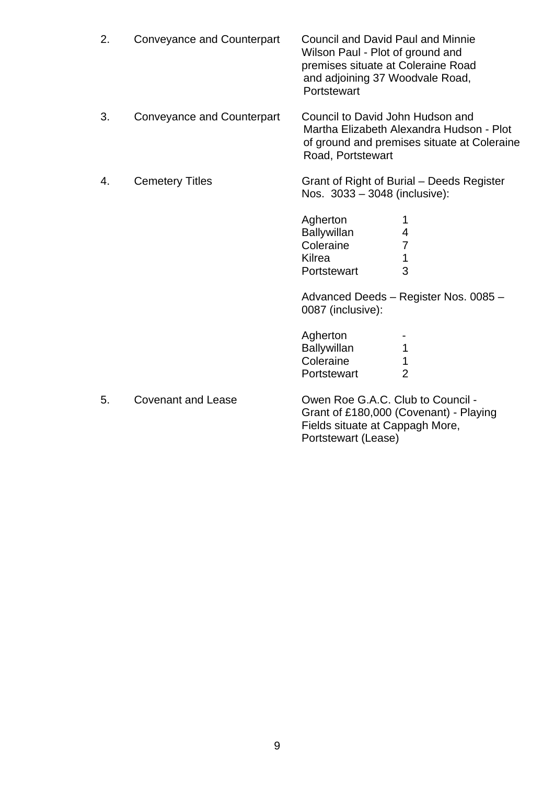| 2. | <b>Conveyance and Counterpart</b> | <b>Council and David Paul and Minnie</b><br>Wilson Paul - Plot of ground and<br>premises situate at Coleraine Road<br>and adjoining 37 Woodvale Road,<br>Portstewart |
|----|-----------------------------------|----------------------------------------------------------------------------------------------------------------------------------------------------------------------|
| 3. | <b>Conveyance and Counterpart</b> | Council to David John Hudson and<br>Martha Elizabeth Alexandra Hudson - Plot<br>of ground and premises situate at Coleraine<br>Road, Portstewart                     |
| 4. | <b>Cemetery Titles</b>            | Grant of Right of Burial – Deeds Register<br>Nos. 3033 - 3048 (inclusive):                                                                                           |
|    |                                   | Agherton<br><b>Ballywillan</b><br>4<br>Coleraine<br>7<br>Kilrea<br>1<br>3<br>Portstewart                                                                             |
|    |                                   | Advanced Deeds - Register Nos. 0085 -<br>0087 (inclusive):                                                                                                           |
|    |                                   | Agherton<br>1<br><b>Ballywillan</b><br>Coleraine<br>1<br>$\overline{2}$<br>Portstewart                                                                               |
| 5. | <b>Covenant and Lease</b>         | Owen Roe G.A.C. Club to Council -<br>Grant of £180,000 (Covenant) - Playing<br>Eiglde oituate at Connach Marc                                                        |

 Fields situate at Cappagh More, Portstewart (Lease)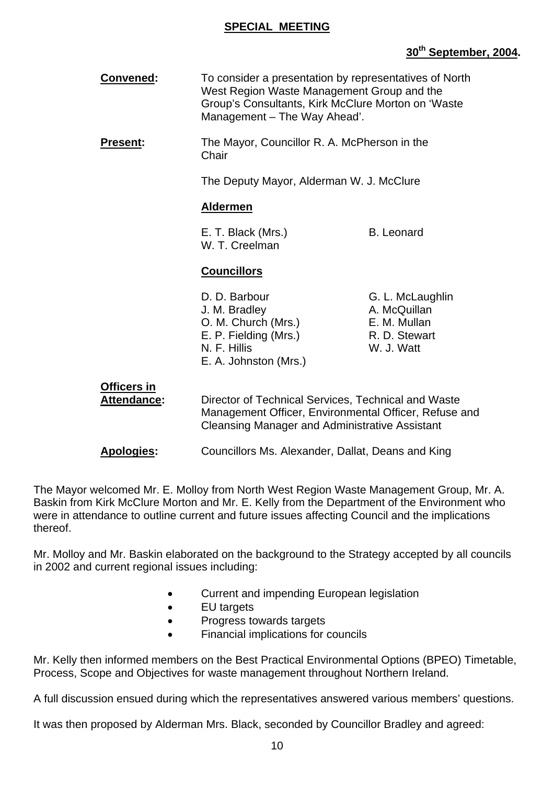#### **SPECIAL MEETING**

## **30th September, 2004.**

| <b>Convened:</b>                  | To consider a presentation by representatives of North<br>West Region Waste Management Group and the<br>Group's Consultants, Kirk McClure Morton on 'Waste<br>Management - The Way Ahead'. |                                                                                 |
|-----------------------------------|--------------------------------------------------------------------------------------------------------------------------------------------------------------------------------------------|---------------------------------------------------------------------------------|
| Present:                          | The Mayor, Councillor R. A. McPherson in the<br>Chair                                                                                                                                      |                                                                                 |
|                                   | The Deputy Mayor, Alderman W. J. McClure                                                                                                                                                   |                                                                                 |
|                                   | <b>Aldermen</b>                                                                                                                                                                            |                                                                                 |
|                                   | E. T. Black (Mrs.)<br>W. T. Creelman                                                                                                                                                       | <b>B.</b> Leonard                                                               |
|                                   |                                                                                                                                                                                            |                                                                                 |
|                                   | <b>Councillors</b>                                                                                                                                                                         |                                                                                 |
|                                   | D. D. Barbour<br>J. M. Bradley<br>O. M. Church (Mrs.)<br>E. P. Fielding (Mrs.)<br>N. F. Hillis<br>E. A. Johnston (Mrs.)                                                                    | G. L. McLaughlin<br>A. McQuillan<br>E. M. Mullan<br>R. D. Stewart<br>W. J. Watt |
| Officers in<br><b>Attendance:</b> | Director of Technical Services, Technical and Waste<br>Management Officer, Environmental Officer, Refuse and<br><b>Cleansing Manager and Administrative Assistant</b>                      |                                                                                 |

The Mayor welcomed Mr. E. Molloy from North West Region Waste Management Group, Mr. A. Baskin from Kirk McClure Morton and Mr. E. Kelly from the Department of the Environment who were in attendance to outline current and future issues affecting Council and the implications thereof.

Mr. Molloy and Mr. Baskin elaborated on the background to the Strategy accepted by all councils in 2002 and current regional issues including:

- Current and impending European legislation
- EU targets
- Progress towards targets
- Financial implications for councils

Mr. Kelly then informed members on the Best Practical Environmental Options (BPEO) Timetable, Process, Scope and Objectives for waste management throughout Northern Ireland.

A full discussion ensued during which the representatives answered various members' questions.

It was then proposed by Alderman Mrs. Black, seconded by Councillor Bradley and agreed: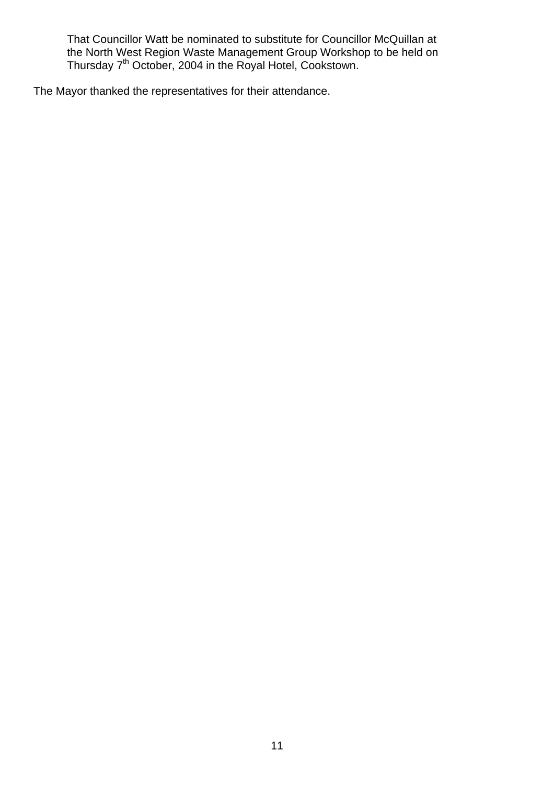That Councillor Watt be nominated to substitute for Councillor McQuillan at the North West Region Waste Management Group Workshop to be held on Thursday 7<sup>th</sup> October, 2004 in the Royal Hotel, Cookstown.

The Mayor thanked the representatives for their attendance.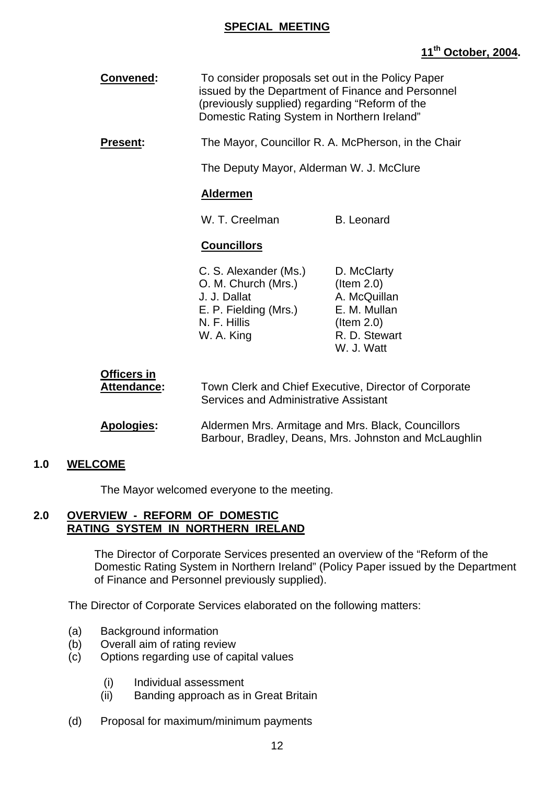#### **SPECIAL MEETING**

## **11th October, 2004.**

| <b>Convened:</b>                  | To consider proposals set out in the Policy Paper<br>issued by the Department of Finance and Personnel<br>(previously supplied) regarding "Reform of the<br>Domestic Rating System in Northern Ireland" |                                                                                                              |
|-----------------------------------|---------------------------------------------------------------------------------------------------------------------------------------------------------------------------------------------------------|--------------------------------------------------------------------------------------------------------------|
| <b>Present:</b>                   |                                                                                                                                                                                                         | The Mayor, Councillor R. A. McPherson, in the Chair                                                          |
|                                   | The Deputy Mayor, Alderman W. J. McClure                                                                                                                                                                |                                                                                                              |
|                                   | <b>Aldermen</b>                                                                                                                                                                                         |                                                                                                              |
|                                   | W. T. Creelman                                                                                                                                                                                          | <b>B.</b> Leonard                                                                                            |
|                                   | <b>Councillors</b>                                                                                                                                                                                      |                                                                                                              |
|                                   | C. S. Alexander (Ms.)<br>O. M. Church (Mrs.)<br>J. J. Dallat<br>E. P. Fielding (Mrs.)<br>N. F. Hillis<br>W. A. King                                                                                     | D. McClarty<br>$($ ltem 2.0)<br>A. McQuillan<br>E. M. Mullan<br>$($ ltem 2.0)<br>R. D. Stewart<br>W. J. Watt |
| <b>Officers in</b><br>Attendance: | Services and Administrative Assistant                                                                                                                                                                   | Town Clerk and Chief Executive, Director of Corporate                                                        |

 **Apologies:** Aldermen Mrs. Armitage and Mrs. Black, Councillors Barbour, Bradley, Deans, Mrs. Johnston and McLaughlin

#### **1.0 WELCOME**

The Mayor welcomed everyone to the meeting.

#### **2.0 OVERVIEW - REFORM OF DOMESTIC RATING SYSTEM IN NORTHERN IRELAND**

The Director of Corporate Services presented an overview of the "Reform of the Domestic Rating System in Northern Ireland" (Policy Paper issued by the Department of Finance and Personnel previously supplied).

The Director of Corporate Services elaborated on the following matters:

- (a) Background information
- (b) Overall aim of rating review
- (c) Options regarding use of capital values
	- (i) Individual assessment
	- (ii) Banding approach as in Great Britain
- (d) Proposal for maximum/minimum payments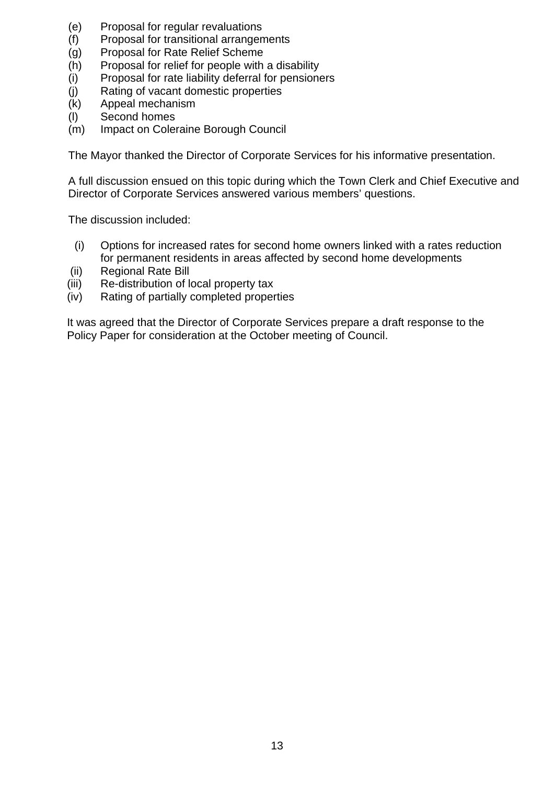- (e) Proposal for regular revaluations
- (f) Proposal for transitional arrangements
- (g) Proposal for Rate Relief Scheme
- (h) Proposal for relief for people with a disability
- (i) Proposal for rate liability deferral for pensioners
- (j) Rating of vacant domestic properties
- (k) Appeal mechanism
- (l) Second homes
- (m) Impact on Coleraine Borough Council

The Mayor thanked the Director of Corporate Services for his informative presentation.

A full discussion ensued on this topic during which the Town Clerk and Chief Executive and Director of Corporate Services answered various members' questions.

The discussion included:

- (i) Options for increased rates for second home owners linked with a rates reduction for permanent residents in areas affected by second home developments
- (ii) Regional Rate Bill
- (iii) Re-distribution of local property tax
- (iv) Rating of partially completed properties

 It was agreed that the Director of Corporate Services prepare a draft response to the Policy Paper for consideration at the October meeting of Council.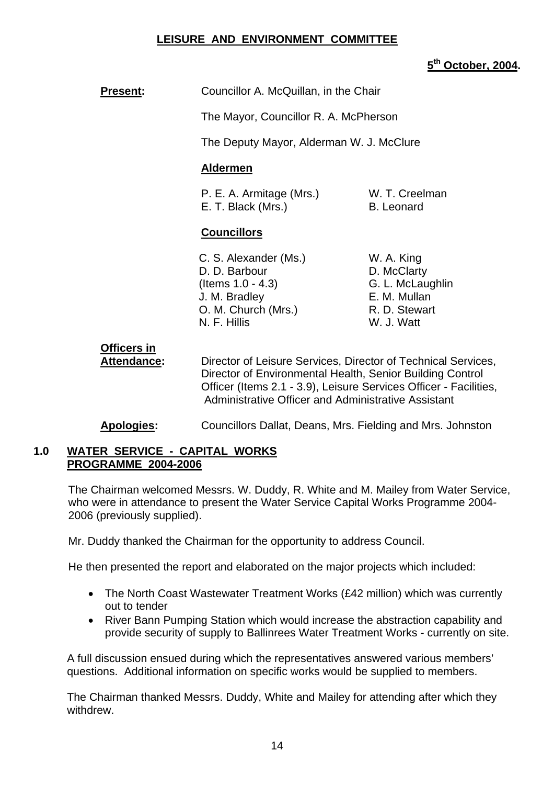### **LEISURE AND ENVIRONMENT COMMITTEE**

### **5th October, 2004.**

**Present:** Councillor A. McQuillan, in the Chair

The Mayor, Councillor R. A. McPherson

The Deputy Mayor, Alderman W. J. McClure

#### **Aldermen**

P. E. A. Armitage (Mrs.) W. T. Creelman E. T. Black (Mrs.) B. Leonard

#### **Councillors**

- C. S. Alexander (Ms.) W. A. King D. D. Barbour D. McClarty (Items 1.0 - 4.3) G. L. McLaughlin J. M. Bradley E. M. Mullan O. M. Church (Mrs.) R. D. Stewart N. F. Hillis W. J. Watt
- 

# **Officers in**

 **Attendance:** Director of Leisure Services, Director of Technical Services, Director of Environmental Health, Senior Building Control Officer (Items 2.1 - 3.9), Leisure Services Officer - Facilities, Administrative Officer and Administrative Assistant

## **Apologies:** Councillors Dallat, Deans, Mrs. Fielding and Mrs. Johnston

#### **1.0 WATER SERVICE - CAPITAL WORKS PROGRAMME 2004-2006**

The Chairman welcomed Messrs. W. Duddy, R. White and M. Mailey from Water Service, who were in attendance to present the Water Service Capital Works Programme 2004- 2006 (previously supplied).

Mr. Duddy thanked the Chairman for the opportunity to address Council.

He then presented the report and elaborated on the major projects which included:

- The North Coast Wastewater Treatment Works (£42 million) which was currently out to tender
- River Bann Pumping Station which would increase the abstraction capability and provide security of supply to Ballinrees Water Treatment Works - currently on site.

A full discussion ensued during which the representatives answered various members' questions. Additional information on specific works would be supplied to members.

The Chairman thanked Messrs. Duddy, White and Mailey for attending after which they withdrew.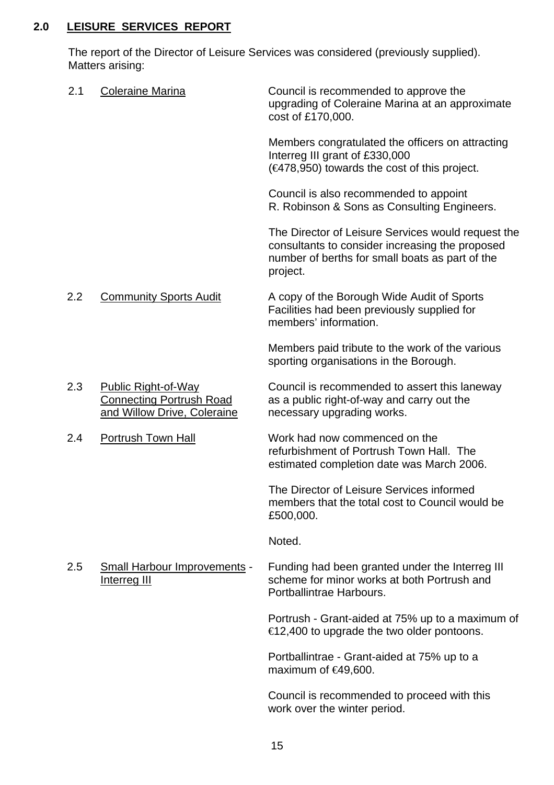## **2.0 LEISURE SERVICES REPORT**

The report of the Director of Leisure Services was considered (previously supplied). Matters arising:

| 2.1 | <b>Coleraine Marina</b>                                                                      | Council is recommended to approve the<br>upgrading of Coleraine Marina at an approximate<br>cost of £170,000.                                                        |
|-----|----------------------------------------------------------------------------------------------|----------------------------------------------------------------------------------------------------------------------------------------------------------------------|
|     |                                                                                              | Members congratulated the officers on attracting<br>Interreg III grant of £330,000<br>$(4478,950)$ towards the cost of this project.                                 |
|     |                                                                                              | Council is also recommended to appoint<br>R. Robinson & Sons as Consulting Engineers.                                                                                |
|     |                                                                                              | The Director of Leisure Services would request the<br>consultants to consider increasing the proposed<br>number of berths for small boats as part of the<br>project. |
| 2.2 | <b>Community Sports Audit</b>                                                                | A copy of the Borough Wide Audit of Sports<br>Facilities had been previously supplied for<br>members' information.                                                   |
|     |                                                                                              | Members paid tribute to the work of the various<br>sporting organisations in the Borough.                                                                            |
| 2.3 | <b>Public Right-of-Way</b><br><b>Connecting Portrush Road</b><br>and Willow Drive, Coleraine | Council is recommended to assert this laneway<br>as a public right-of-way and carry out the<br>necessary upgrading works.                                            |
| 2.4 | <b>Portrush Town Hall</b>                                                                    | Work had now commenced on the<br>refurbishment of Portrush Town Hall. The<br>estimated completion date was March 2006.                                               |
|     |                                                                                              | The Director of Leisure Services informed<br>members that the total cost to Council would be<br>£500,000.                                                            |
|     |                                                                                              | Noted.                                                                                                                                                               |
| 2.5 | <b>Small Harbour Improvements -</b><br><b>Interreg III</b>                                   | Funding had been granted under the Interreg III<br>scheme for minor works at both Portrush and<br>Portballintrae Harbours.                                           |
|     |                                                                                              | Portrush - Grant-aided at 75% up to a maximum of<br>€12,400 to upgrade the two older pontoons.                                                                       |
|     |                                                                                              | Portballintrae - Grant-aided at 75% up to a<br>maximum of $\epsilon$ 49,600.                                                                                         |
|     |                                                                                              | Council is recommended to proceed with this<br>work over the winter period.                                                                                          |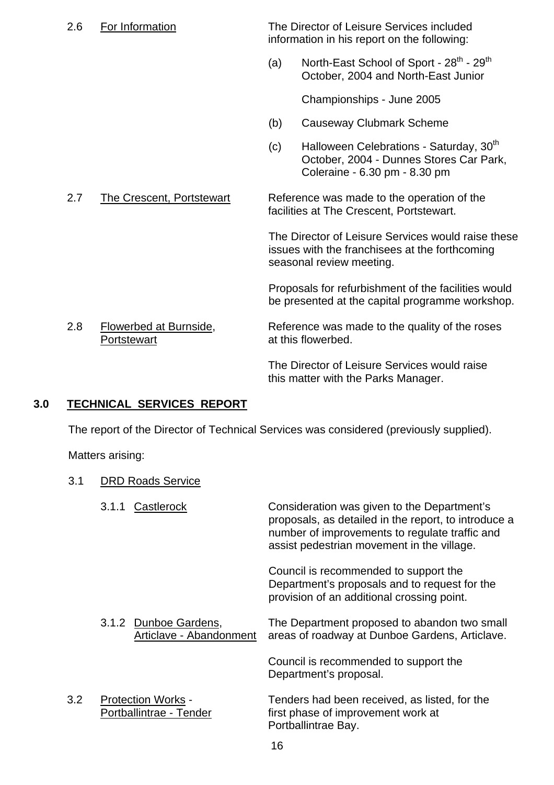2.6 For Information The Director of Leisure Services included information in his report on the following: (a) North-East School of Sport -  $28^{th}$  -  $29^{th}$  October, 2004 and North-East Junior Championships - June 2005 (b) Causeway Clubmark Scheme (c) Halloween Celebrations - Saturday,  $30<sup>th</sup>$ October, 2004 - Dunnes Stores Car Park, Coleraine - 6.30 pm - 8.30 pm 2.7 The Crescent, Portstewart Reference was made to the operation of the facilities at The Crescent, Portstewart. The Director of Leisure Services would raise these issues with the franchisees at the forthcoming seasonal review meeting. Proposals for refurbishment of the facilities would be presented at the capital programme workshop. 2.8 Flowerbed at Burnside, Reference was made to the quality of the roses Portstewart **at this flowerbed.**  The Director of Leisure Services would raise this matter with the Parks Manager.

## **3.0 TECHNICAL SERVICES REPORT**

3.1 DRD Roads Service

The report of the Director of Technical Services was considered (previously supplied).

Matters arising:

| Castlerock<br>Consideration was given to the Department's<br>3.1.1<br>number of improvements to regulate traffic and<br>assist pedestrian movement in the village.<br>Council is recommended to support the<br>Department's proposals and to request for the<br>provision of an additional crossing point.<br>3.1.2 Dunboe Gardens,<br>The Department proposed to abandon two small<br>Articlave - Abandonment<br>areas of roadway at Dunboe Gardens, Articlave.<br>Council is recommended to support the<br>Department's proposal.<br>3.2<br>Tenders had been received, as listed, for the<br><b>Protection Works -</b><br>Portballintrae - Tender<br>first phase of improvement work at |  |  |                                                      |
|-------------------------------------------------------------------------------------------------------------------------------------------------------------------------------------------------------------------------------------------------------------------------------------------------------------------------------------------------------------------------------------------------------------------------------------------------------------------------------------------------------------------------------------------------------------------------------------------------------------------------------------------------------------------------------------------|--|--|------------------------------------------------------|
|                                                                                                                                                                                                                                                                                                                                                                                                                                                                                                                                                                                                                                                                                           |  |  | proposals, as detailed in the report, to introduce a |
|                                                                                                                                                                                                                                                                                                                                                                                                                                                                                                                                                                                                                                                                                           |  |  |                                                      |
|                                                                                                                                                                                                                                                                                                                                                                                                                                                                                                                                                                                                                                                                                           |  |  |                                                      |
|                                                                                                                                                                                                                                                                                                                                                                                                                                                                                                                                                                                                                                                                                           |  |  |                                                      |
|                                                                                                                                                                                                                                                                                                                                                                                                                                                                                                                                                                                                                                                                                           |  |  | Portballintrae Bay.                                  |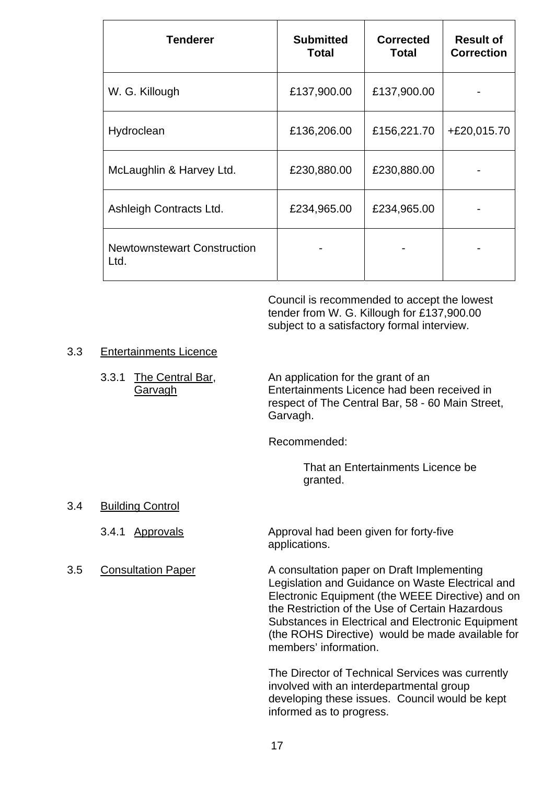| <b>Tenderer</b>                            | <b>Submitted</b><br><b>Total</b> | <b>Corrected</b><br><b>Total</b> | <b>Result of</b><br><b>Correction</b> |
|--------------------------------------------|----------------------------------|----------------------------------|---------------------------------------|
| W. G. Killough                             | £137,900.00                      | £137,900.00                      |                                       |
| Hydroclean                                 | £136,206.00                      | £156,221.70                      | +£20,015.70                           |
| McLaughlin & Harvey Ltd.                   | £230,880.00                      | £230,880.00                      |                                       |
| Ashleigh Contracts Ltd.                    | £234,965.00                      | £234,965.00                      |                                       |
| <b>Newtownstewart Construction</b><br>Ltd. |                                  |                                  |                                       |

Council is recommended to accept the lowest tender from W. G. Killough for £137,900.00 subject to a satisfactory formal interview.

#### 3.3 Entertainments Licence

3.3.1 The Central Bar, An application for the grant of an Garvagh Entertainments Licence had been received in respect of The Central Bar, 58 - 60 Main Street, Garvagh.

Recommended:

 That an Entertainments Licence be granted.

- 3.4 Building Control
	-
- 

3.4.1 Approvals Approval had been given for forty-five applications.

3.5 Consultation Paper A consultation paper on Draft Implementing Legislation and Guidance on Waste Electrical and Electronic Equipment (the WEEE Directive) and on the Restriction of the Use of Certain Hazardous Substances in Electrical and Electronic Equipment (the ROHS Directive) would be made available for members' information.

> The Director of Technical Services was currently involved with an interdepartmental group developing these issues. Council would be kept informed as to progress.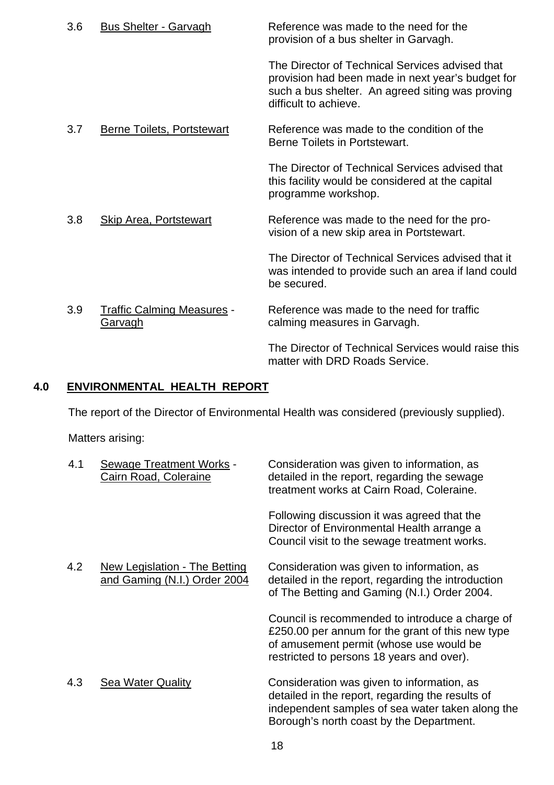| 3.6 | <b>Bus Shelter - Garvagh</b>                        | Reference was made to the need for the<br>provision of a bus shelter in Garvagh.                                                                                                  |
|-----|-----------------------------------------------------|-----------------------------------------------------------------------------------------------------------------------------------------------------------------------------------|
|     |                                                     | The Director of Technical Services advised that<br>provision had been made in next year's budget for<br>such a bus shelter. An agreed siting was proving<br>difficult to achieve. |
| 3.7 | <b>Berne Toilets, Portstewart</b>                   | Reference was made to the condition of the<br>Berne Toilets in Portstewart.                                                                                                       |
|     |                                                     | The Director of Technical Services advised that<br>this facility would be considered at the capital<br>programme workshop.                                                        |
| 3.8 | <b>Skip Area, Portstewart</b>                       | Reference was made to the need for the pro-<br>vision of a new skip area in Portstewart.                                                                                          |
|     |                                                     | The Director of Technical Services advised that it<br>was intended to provide such an area if land could<br>be secured.                                                           |
| 3.9 | <b>Traffic Calming Measures -</b><br><b>Garvagh</b> | Reference was made to the need for traffic<br>calming measures in Garvagh.                                                                                                        |
|     |                                                     | The Director of Technical Services would raise this<br>matter with DRD Roads Service.                                                                                             |

## **4.0 ENVIRONMENTAL HEALTH REPORT**

The report of the Director of Environmental Health was considered (previously supplied).

Matters arising:

| 4.1 | <b>Sewage Treatment Works -</b><br>Cairn Road, Coleraine      | Consideration was given to information, as<br>detailed in the report, regarding the sewage<br>treatment works at Cairn Road, Coleraine.                                                        |
|-----|---------------------------------------------------------------|------------------------------------------------------------------------------------------------------------------------------------------------------------------------------------------------|
|     |                                                               | Following discussion it was agreed that the<br>Director of Environmental Health arrange a<br>Council visit to the sewage treatment works.                                                      |
| 4.2 | New Legislation - The Betting<br>and Gaming (N.I.) Order 2004 | Consideration was given to information, as<br>detailed in the report, regarding the introduction<br>of The Betting and Gaming (N.I.) Order 2004.                                               |
|     |                                                               | Council is recommended to introduce a charge of<br>£250.00 per annum for the grant of this new type<br>of amusement permit (whose use would be<br>restricted to persons 18 years and over).    |
| 4.3 | <b>Sea Water Quality</b>                                      | Consideration was given to information, as<br>detailed in the report, regarding the results of<br>independent samples of sea water taken along the<br>Borough's north coast by the Department. |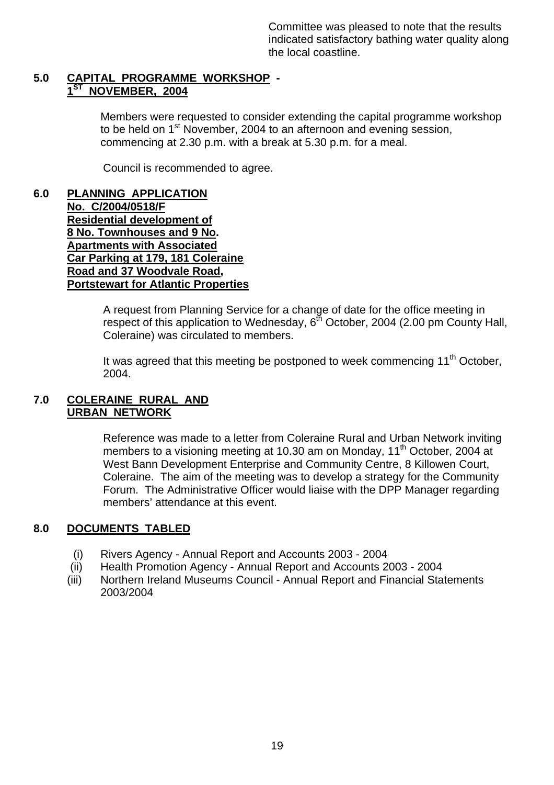Committee was pleased to note that the results indicated satisfactory bathing water quality along the local coastline.

#### **5.0 CAPITAL PROGRAMME WORKSHOP - NOVEMBER, 2004**

 Members were requested to consider extending the capital programme workshop to be held on 1<sup>st</sup> November, 2004 to an afternoon and evening session. commencing at 2.30 p.m. with a break at 5.30 p.m. for a meal.

Council is recommended to agree.

**6.0 PLANNING APPLICATION No. C/2004/0518/F Residential development of 8 No. Townhouses and 9 No. Apartments with Associated Car Parking at 179, 181 Coleraine Road and 37 Woodvale Road, Portstewart for Atlantic Properties**

> A request from Planning Service for a change of date for the office meeting in respect of this application to Wednesday,  $6<sup>th</sup>$  October, 2004 (2.00 pm County Hall, Coleraine) was circulated to members.

It was agreed that this meeting be postponed to week commencing  $11<sup>th</sup>$  October, 2004.

#### **7.0 COLERAINE RURAL AND URBAN NETWORK**

Reference was made to a letter from Coleraine Rural and Urban Network inviting members to a visioning meeting at 10.30 am on Monday, 11<sup>th</sup> October, 2004 at West Bann Development Enterprise and Community Centre, 8 Killowen Court, Coleraine. The aim of the meeting was to develop a strategy for the Community Forum. The Administrative Officer would liaise with the DPP Manager regarding members' attendance at this event.

## **8.0 DOCUMENTS TABLED**

- (i) Rivers Agency Annual Report and Accounts 2003 2004
- (ii) Health Promotion Agency Annual Report and Accounts 2003 2004
- (iii) Northern Ireland Museums Council Annual Report and Financial Statements 2003/2004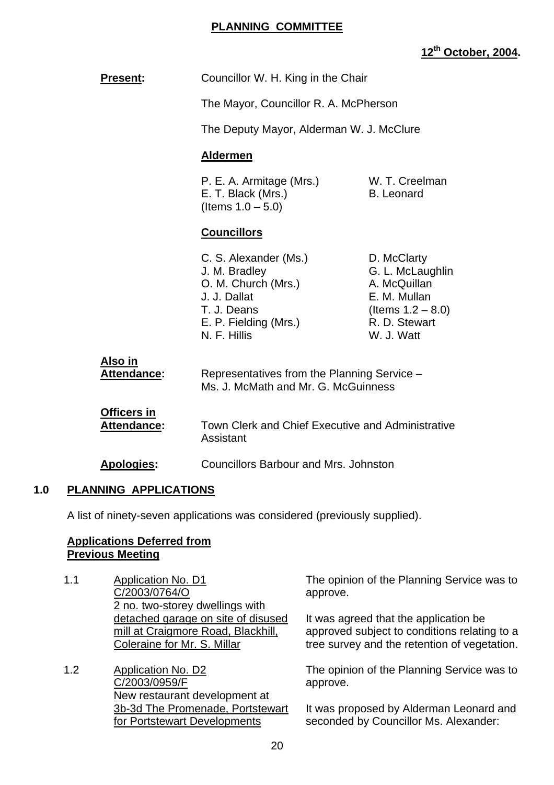#### **PLANNING COMMITTEE**

## **12th October, 2004.**

| <b>Present:</b>                          | Councillor W. H. King in the Chair                                                                                                    |                                                                                                                        |
|------------------------------------------|---------------------------------------------------------------------------------------------------------------------------------------|------------------------------------------------------------------------------------------------------------------------|
|                                          | The Mayor, Councillor R. A. McPherson                                                                                                 |                                                                                                                        |
|                                          | The Deputy Mayor, Alderman W. J. McClure                                                                                              |                                                                                                                        |
|                                          | <b>Aldermen</b>                                                                                                                       |                                                                                                                        |
|                                          | P. E. A. Armitage (Mrs.)<br>E. T. Black (Mrs.)<br>(Items $1.0 - 5.0$ )                                                                | W. T. Creelman<br><b>B.</b> Leonard                                                                                    |
|                                          | <b>Councillors</b>                                                                                                                    |                                                                                                                        |
|                                          | C. S. Alexander (Ms.)<br>J. M. Bradley<br>O. M. Church (Mrs.)<br>J. J. Dallat<br>T. J. Deans<br>E. P. Fielding (Mrs.)<br>N. F. Hillis | D. McClarty<br>G. L. McLaughlin<br>A. McQuillan<br>E. M. Mullan<br>(Items $1.2 - 8.0$ )<br>R. D. Stewart<br>W. J. Watt |
| Also in<br><b>Attendance:</b>            | Representatives from the Planning Service -<br>Ms. J. McMath and Mr. G. McGuinness                                                    |                                                                                                                        |
| <b>Officers in</b><br><b>Attendance:</b> | Town Clerk and Chief Executive and Administrative<br>Assistant                                                                        |                                                                                                                        |
| <b>Apologies:</b>                        | <b>Councillors Barbour and Mrs. Johnston</b>                                                                                          |                                                                                                                        |

#### **1.0 PLANNING APPLICATIONS**

A list of ninety-seven applications was considered (previously supplied).

#### **Applications Deferred from Previous Meeting**

- 1.1 Application No. D1 C/2003/0764/O 2 no. two-storey dwellings with detached garage on site of disused mill at Craigmore Road, Blackhill, Coleraine for Mr. S. Millar
- 1.2 Application No. D2 C/2003/0959/F New restaurant development at 3b-3d The Promenade, Portstewart for Portstewart Developments

The opinion of the Planning Service was to approve.

It was agreed that the application be approved subject to conditions relating to a tree survey and the retention of vegetation.

The opinion of the Planning Service was to approve.

It was proposed by Alderman Leonard and seconded by Councillor Ms. Alexander: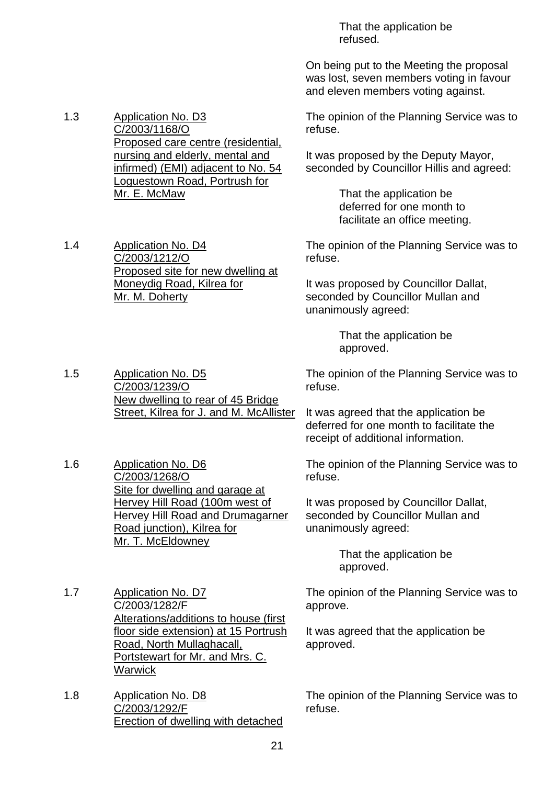That the application be refused.

On being put to the Meeting the proposal was lost, seven members voting in favour and eleven members voting against.

The opinion of the Planning Service was to refuse.

It was proposed by the Deputy Mayor, seconded by Councillor Hillis and agreed:

> That the application be deferred for one month to facilitate an office meeting.

The opinion of the Planning Service was to refuse.

It was proposed by Councillor Dallat, seconded by Councillor Mullan and unanimously agreed:

> That the application be approved.

The opinion of the Planning Service was to refuse.

It was agreed that the application be deferred for one month to facilitate the receipt of additional information.

The opinion of the Planning Service was to refuse.

It was proposed by Councillor Dallat, seconded by Councillor Mullan and unanimously agreed:

> That the application be approved.

The opinion of the Planning Service was to approve.

It was agreed that the application be approved.

The opinion of the Planning Service was to refuse.

1.3 Application No. D3 C/2003/1168/O Proposed care centre (residential, nursing and elderly, mental and infirmed) (EMI) adjacent to No. 54 Loguestown Road, Portrush for Mr. E. McMaw

1.4 Application No. D4 C/2003/1212/O Proposed site for new dwelling at Moneydig Road, Kilrea for Mr. M. Doherty

1.5 Application No. D5 C/2003/1239/O New dwelling to rear of 45 Bridge Street, Kilrea for J. and M. McAllister

1.6 Application No. D6 C/2003/1268/O Site for dwelling and garage at Hervey Hill Road (100m west of Hervey Hill Road and Drumagarner Road junction), Kilrea for Mr. T. McEldowney

1.7 Application No. D7 C/2003/1282/F Alterations/additions to house (first floor side extension) at 15 Portrush Road, North Mullaghacall, Portstewart for Mr. and Mrs. C. **Warwick** 

1.8 Application No. D8 C/2003/1292/F Erection of dwelling with detached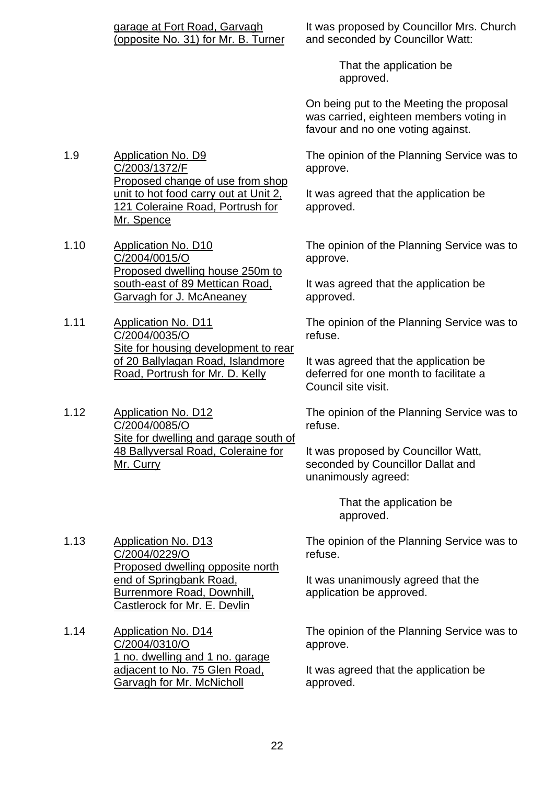It was proposed by Councillor Mrs. Church and seconded by Councillor Watt:

> That the application be approved.

On being put to the Meeting the proposal was carried, eighteen members voting in favour and no one voting against.

1.9 Application No. D9 C/2003/1372/F Proposed change of use from shop unit to hot food carry out at Unit 2, 121 Coleraine Road, Portrush for Mr. Spence

1.10 Application No. D10 C/2004/0015/O Proposed dwelling house 250m to south-east of 89 Mettican Road, Garvagh for J. McAneaney

1.11 Application No. D11 C/2004/0035/O Site for housing development to rear of 20 Ballylagan Road, Islandmore Road, Portrush for Mr. D. Kelly

1.12 Application No. D12 C/2004/0085/O Site for dwelling and garage south of 48 Ballyversal Road, Coleraine for Mr. Curry

1.13 Application No. D13 C/2004/0229/O Proposed dwelling opposite north end of Springbank Road, Burrenmore Road, Downhill, Castlerock for Mr. E. Devlin

1.14 Application No. D14 C/2004/0310/O 1 no. dwelling and 1 no. garage adjacent to No. 75 Glen Road, Garvagh for Mr. McNicholl

The opinion of the Planning Service was to approve.

It was agreed that the application be approved.

The opinion of the Planning Service was to approve.

It was agreed that the application be approved.

The opinion of the Planning Service was to refuse.

It was agreed that the application be deferred for one month to facilitate a Council site visit.

The opinion of the Planning Service was to refuse.

It was proposed by Councillor Watt, seconded by Councillor Dallat and unanimously agreed:

> That the application be approved.

The opinion of the Planning Service was to refuse.

It was unanimously agreed that the application be approved.

The opinion of the Planning Service was to approve.

It was agreed that the application be approved.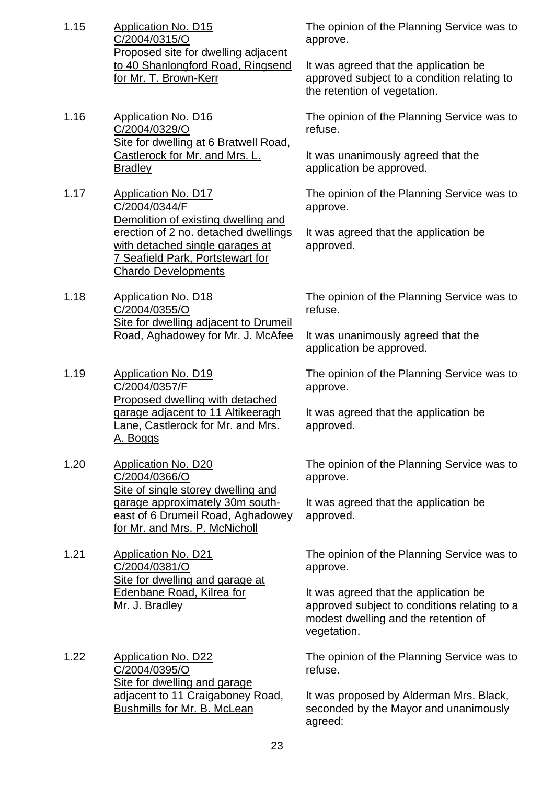- 1.15 Application No. D15 C/2004/0315/O Proposed site for dwelling adjacent to 40 Shanlongford Road, Ringsend for Mr. T. Brown-Kerr
- 1.16 Application No. D16 C/2004/0329/O Site for dwelling at 6 Bratwell Road, Castlerock for Mr. and Mrs. L. **Bradley**
- 1.17 Application No. D17 C/2004/0344/F Demolition of existing dwelling and erection of 2 no. detached dwellings with detached single garages at 7 Seafield Park, Portstewart for Chardo Developments
- 1.18 Application No. D18 C/2004/0355/O Site for dwelling adjacent to Drumeil Road, Aghadowey for Mr. J. McAfee
- 1.19 Application No. D19 C/2004/0357/F **Proposed dwelling with detached** garage adjacent to 11 Altikeeragh Lane, Castlerock for Mr. and Mrs. A. Boggs
- 1.20 Application No. D20 C/2004/0366/O Site of single storey dwelling and garage approximately 30m southeast of 6 Drumeil Road, Aghadowey for Mr. and Mrs. P. McNicholl
- 1.21 Application No. D21 C/2004/0381/O Site for dwelling and garage at Edenbane Road, Kilrea for Mr. J. Bradley
- 1.22 Application No. D22 C/2004/0395/O Site for dwelling and garage adjacent to 11 Craigaboney Road, Bushmills for Mr. B. McLean

The opinion of the Planning Service was to approve.

It was agreed that the application be approved subject to a condition relating to the retention of vegetation.

The opinion of the Planning Service was to refuse.

It was unanimously agreed that the application be approved.

The opinion of the Planning Service was to approve.

It was agreed that the application be approved.

The opinion of the Planning Service was to refuse.

It was unanimously agreed that the application be approved.

The opinion of the Planning Service was to approve.

It was agreed that the application be approved.

The opinion of the Planning Service was to approve.

It was agreed that the application be approved.

The opinion of the Planning Service was to approve.

It was agreed that the application be approved subject to conditions relating to a modest dwelling and the retention of vegetation.

The opinion of the Planning Service was to refuse.

It was proposed by Alderman Mrs. Black, seconded by the Mayor and unanimously agreed: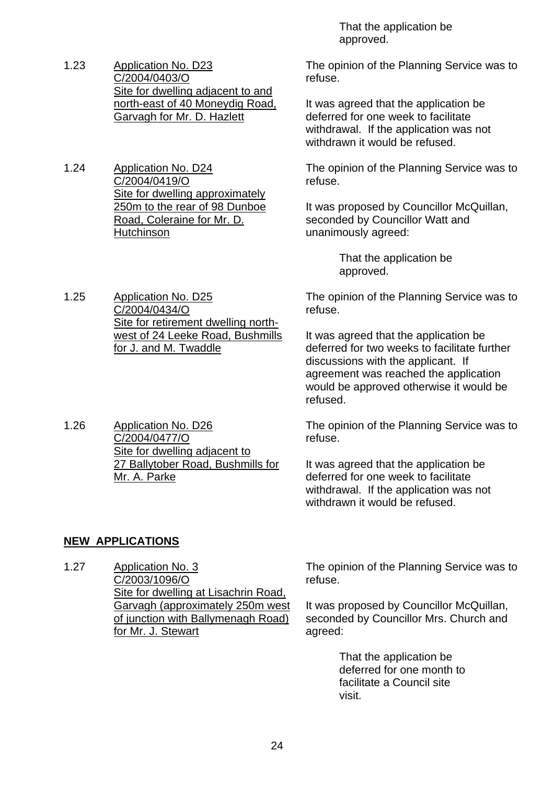- 1.23 Application No. D23 C/2004/0403/O Site for dwelling adjacent to and north-east of 40 Moneydig Road, Garvagh for Mr. D. Hazlett
- 1.24 Application No. D24 C/2004/0419/O Site for dwelling approximately 250m to the rear of 98 Dunboe Road, Coleraine for Mr. D. **Hutchinson**

1.25 Application No. D25 C/2004/0434/O Site for retirement dwelling northwest of 24 Leeke Road, Bushmills for J. and M. Twaddle

1.26 Application No. D26 C/2004/0477/O Site for dwelling adjacent to 27 Ballytober Road, Bushmills for Mr. A. Parke

 That the application be approved.

The opinion of the Planning Service was to refuse.

It was agreed that the application be deferred for one week to facilitate withdrawal. If the application was not withdrawn it would be refused.

The opinion of the Planning Service was to refuse.

It was proposed by Councillor McQuillan, seconded by Councillor Watt and unanimously agreed:

> That the application be approved.

The opinion of the Planning Service was to refuse.

It was agreed that the application be deferred for two weeks to facilitate further discussions with the applicant. If agreement was reached the application would be approved otherwise it would be refused.

The opinion of the Planning Service was to refuse.

It was agreed that the application be deferred for one week to facilitate withdrawal. If the application was not withdrawn it would be refused.

#### **NEW APPLICATIONS**

1.27 Application No. 3 C/2003/1096/O Site for dwelling at Lisachrin Road, Garvagh (approximately 250m west of junction with Ballymenagh Road) for Mr. J. Stewart

The opinion of the Planning Service was to refuse.

It was proposed by Councillor McQuillan, seconded by Councillor Mrs. Church and agreed:

> That the application be deferred for one month to facilitate a Council site visit.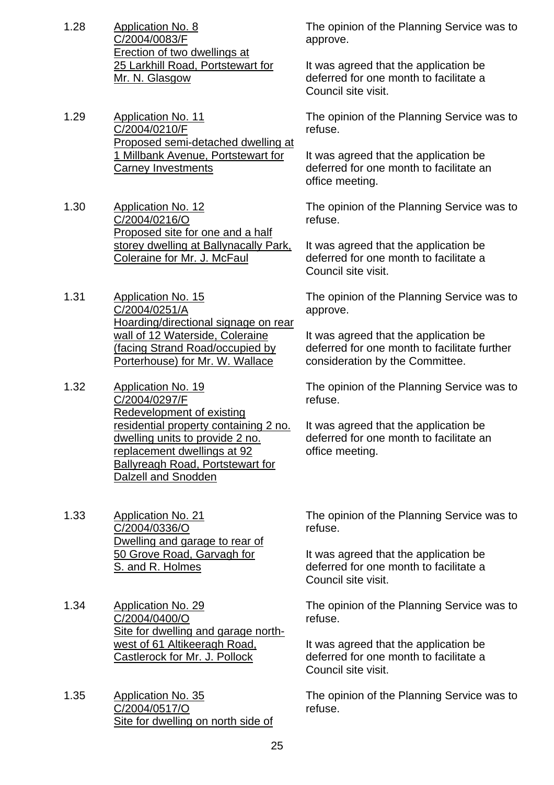- 1.28 Application No. 8 C/2004/0083/F Erection of two dwellings at 25 Larkhill Road, Portstewart for Mr. N. Glasgow
- 1.29 Application No. 11 C/2004/0210/F Proposed semi-detached dwelling at 1 Millbank Avenue, Portstewart for Carney Investments
- 1.30 Application No. 12 C/2004/0216/O Proposed site for one and a half storey dwelling at Ballynacally Park, Coleraine for Mr. J. McFaul
- 1.31 Application No. 15 C/2004/0251/A Hoarding/directional signage on rear wall of 12 Waterside, Coleraine (facing Strand Road/occupied by Porterhouse) for Mr. W. Wallace
- 1.32 Application No. 19 C/2004/0297/F Redevelopment of existing residential property containing 2 no. dwelling units to provide 2 no. replacement dwellings at 92 Ballyreagh Road, Portstewart for Dalzell and Snodden
- 1.33 Application No. 21 C/2004/0336/O Dwelling and garage to rear of 50 Grove Road, Garvagh for S. and R. Holmes
- 1.34 Application No. 29 C/2004/0400/O Site for dwelling and garage northwest of 61 Altikeeragh Road, Castlerock for Mr. J. Pollock
- 1.35 Application No. 35 C/2004/0517/O Site for dwelling on north side of

The opinion of the Planning Service was to approve.

It was agreed that the application be deferred for one month to facilitate a Council site visit.

The opinion of the Planning Service was to refuse.

It was agreed that the application be deferred for one month to facilitate an office meeting.

The opinion of the Planning Service was to refuse.

It was agreed that the application be deferred for one month to facilitate a Council site visit.

The opinion of the Planning Service was to approve.

It was agreed that the application be deferred for one month to facilitate further consideration by the Committee.

The opinion of the Planning Service was to refuse.

It was agreed that the application be deferred for one month to facilitate an office meeting.

The opinion of the Planning Service was to refuse.

It was agreed that the application be deferred for one month to facilitate a Council site visit.

The opinion of the Planning Service was to refuse.

It was agreed that the application be deferred for one month to facilitate a Council site visit.

The opinion of the Planning Service was to refuse.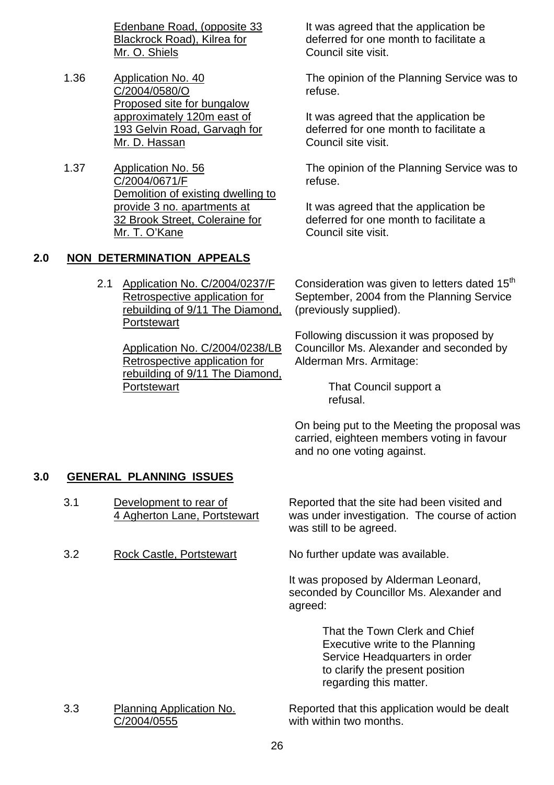Edenbane Road, (opposite 33 Blackrock Road), Kilrea for Mr. O. Shiels

- 1.36 Application No. 40 C/2004/0580/O Proposed site for bungalow approximately 120m east of 193 Gelvin Road, Garvagh for Mr. D. Hassan
- 1.37 Application No. 56 C/2004/0671/F Demolition of existing dwelling to provide 3 no. apartments at 32 Brook Street, Coleraine for Mr. T. O'Kane

#### **2.0 NON DETERMINATION APPEALS**

 2.1 Application No. C/2004/0237/F Retrospective application for rebuilding of 9/11 The Diamond, **Portstewart** 

> Application No. C/2004/0238/LB Retrospective application for rebuilding of 9/11 The Diamond, **Portstewart**

It was agreed that the application be deferred for one month to facilitate a Council site visit.

The opinion of the Planning Service was to refuse.

It was agreed that the application be deferred for one month to facilitate a Council site visit.

The opinion of the Planning Service was to refuse.

It was agreed that the application be deferred for one month to facilitate a Council site visit.

Consideration was given to letters dated  $15<sup>th</sup>$ September, 2004 from the Planning Service (previously supplied).

Following discussion it was proposed by Councillor Ms. Alexander and seconded by Alderman Mrs. Armitage:

> That Council support a refusal.

On being put to the Meeting the proposal was carried, eighteen members voting in favour and no one voting against.

#### **3.0 GENERAL PLANNING ISSUES**

- 3.1 Development to rear of 4 Agherton Lane, Portstewart
- 3.2 Rock Castle, Portstewart No further update was available.

Reported that the site had been visited and was under investigation. The course of action was still to be agreed.

It was proposed by Alderman Leonard, seconded by Councillor Ms. Alexander and agreed:

> That the Town Clerk and Chief Executive write to the Planning Service Headquarters in order to clarify the present position regarding this matter.

3.3 Planning Application No. C/2004/0555

Reported that this application would be dealt with within two months.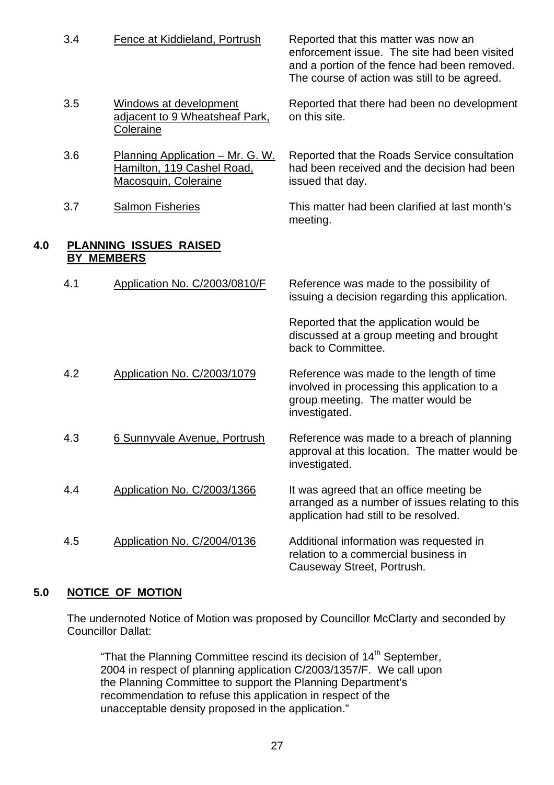|     | 3.4 | Fence at Kiddieland, Portrush                                                                  | Reported that this matter was now an<br>enforcement issue. The site had been visited<br>and a portion of the fence had been removed.<br>The course of action was still to be agreed. |
|-----|-----|------------------------------------------------------------------------------------------------|--------------------------------------------------------------------------------------------------------------------------------------------------------------------------------------|
|     | 3.5 | Windows at development<br>adjacent to 9 Wheatsheaf Park,<br>Coleraine                          | Reported that there had been no development<br>on this site.                                                                                                                         |
|     | 3.6 | <u> Planning Application – Mr. G. W.</u><br>Hamilton, 119 Cashel Road,<br>Macosquin, Coleraine | Reported that the Roads Service consultation<br>had been received and the decision had been<br>issued that day.                                                                      |
|     | 3.7 | <b>Salmon Fisheries</b>                                                                        | This matter had been clarified at last month's<br>meeting.                                                                                                                           |
| 4.0 |     | <b>PLANNING ISSUES RAISED</b><br><b>BY MEMBERS</b>                                             |                                                                                                                                                                                      |
|     | 4.1 | Application No. C/2003/0810/F                                                                  | Reference was made to the possibility of<br>issuing a decision regarding this application.                                                                                           |
|     |     |                                                                                                | Reported that the application would be<br>discussed at a group meeting and brought<br>back to Committee.                                                                             |
|     | 4.2 | Application No. C/2003/1079                                                                    | Reference was made to the length of time<br>involved in processing this application to a<br>group meeting. The matter would be<br>investigated.                                      |
|     | 4.3 | 6 Sunnyvale Avenue, Portrush                                                                   | Reference was made to a breach of planning<br>approval at this location. The matter would be<br>investigated.                                                                        |
|     | 4.4 | Application No. C/2003/1366                                                                    | It was agreed that an office meeting be<br>arranged as a number of issues relating to this<br>application had still to be resolved.                                                  |
|     | 4.5 | Application No. C/2004/0136                                                                    | Additional information was requested in<br>relation to a commercial business in<br>Causeway Street, Portrush.                                                                        |

## **5.0 NOTICE OF MOTION**

The undernoted Notice of Motion was proposed by Councillor McClarty and seconded by Councillor Dallat:

"That the Planning Committee rescind its decision of 14<sup>th</sup> September, 2004 in respect of planning application C/2003/1357/F. We call upon the Planning Committee to support the Planning Department's recommendation to refuse this application in respect of the unacceptable density proposed in the application."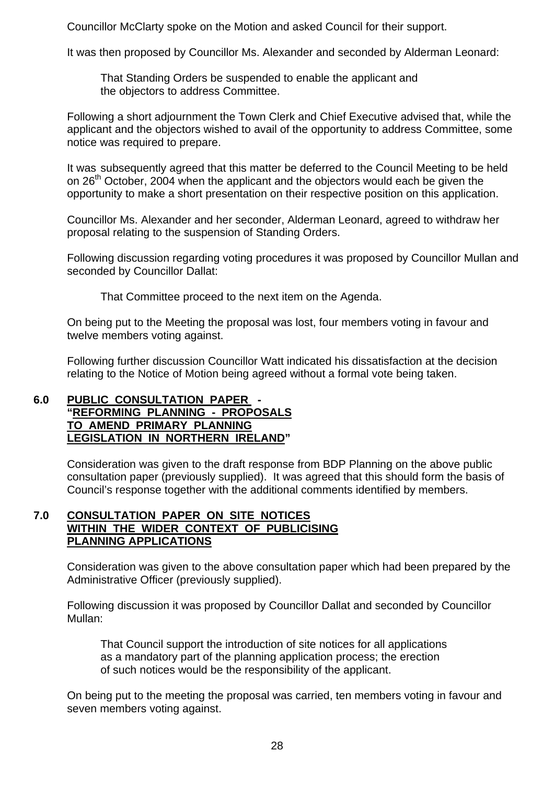Councillor McClarty spoke on the Motion and asked Council for their support.

It was then proposed by Councillor Ms. Alexander and seconded by Alderman Leonard:

 That Standing Orders be suspended to enable the applicant and the objectors to address Committee.

 Following a short adjournment the Town Clerk and Chief Executive advised that, while the applicant and the objectors wished to avail of the opportunity to address Committee, some notice was required to prepare.

 It was subsequently agreed that this matter be deferred to the Council Meeting to be held on 26<sup>th</sup> October, 2004 when the applicant and the objectors would each be given the opportunity to make a short presentation on their respective position on this application.

 Councillor Ms. Alexander and her seconder, Alderman Leonard, agreed to withdraw her proposal relating to the suspension of Standing Orders.

 Following discussion regarding voting procedures it was proposed by Councillor Mullan and seconded by Councillor Dallat:

That Committee proceed to the next item on the Agenda.

 On being put to the Meeting the proposal was lost, four members voting in favour and twelve members voting against.

 Following further discussion Councillor Watt indicated his dissatisfaction at the decision relating to the Notice of Motion being agreed without a formal vote being taken.

#### **6.0 PUBLIC CONSULTATION PAPER - "REFORMING PLANNING - PROPOSALS TO AMEND PRIMARY PLANNING LEGISLATION IN NORTHERN IRELAND"**

 Consideration was given to the draft response from BDP Planning on the above public consultation paper (previously supplied). It was agreed that this should form the basis of Council's response together with the additional comments identified by members.

#### **7.0 CONSULTATION PAPER ON SITE NOTICES WITHIN THE WIDER CONTEXT OF PUBLICISING PLANNING APPLICATIONS**

Consideration was given to the above consultation paper which had been prepared by the Administrative Officer (previously supplied).

 Following discussion it was proposed by Councillor Dallat and seconded by Councillor Mullan:

 That Council support the introduction of site notices for all applications as a mandatory part of the planning application process; the erection of such notices would be the responsibility of the applicant.

 On being put to the meeting the proposal was carried, ten members voting in favour and seven members voting against.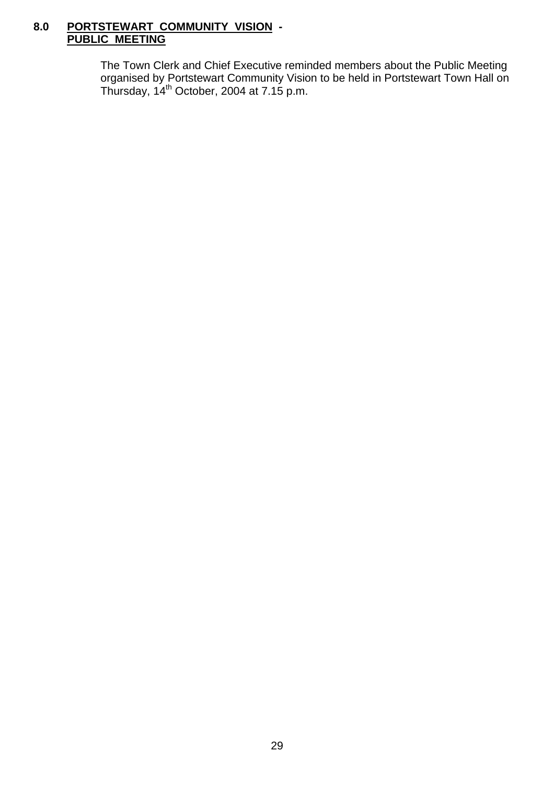### **8.0 PORTSTEWART COMMUNITY VISION - PUBLIC MEETING**

 The Town Clerk and Chief Executive reminded members about the Public Meeting organised by Portstewart Community Vision to be held in Portstewart Town Hall on Thursday,  $14<sup>th</sup>$  October, 2004 at 7.15 p.m.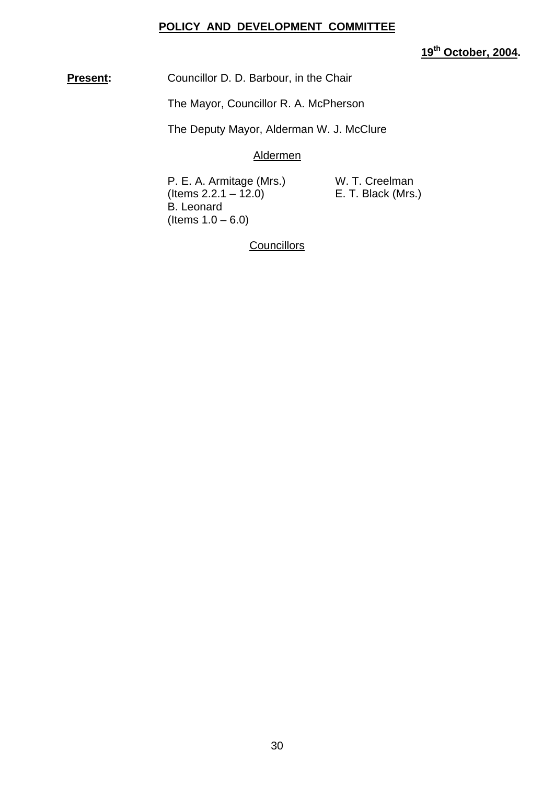#### **POLICY AND DEVELOPMENT COMMITTEE**

**19th October, 2004.** 

**Present:** Councillor D. D. Barbour, in the Chair

The Mayor, Councillor R. A. McPherson

The Deputy Mayor, Alderman W. J. McClure

Aldermen

P. E. A. Armitage (Mrs.) W. T. Creelman<br>(Items 2.2.1 – 12.0) E. T. Black (Mrs.)  $($  Items 2.2.1 – 12.0) B. Leonard (Items  $1.0 - 6.0$ )

**Councillors**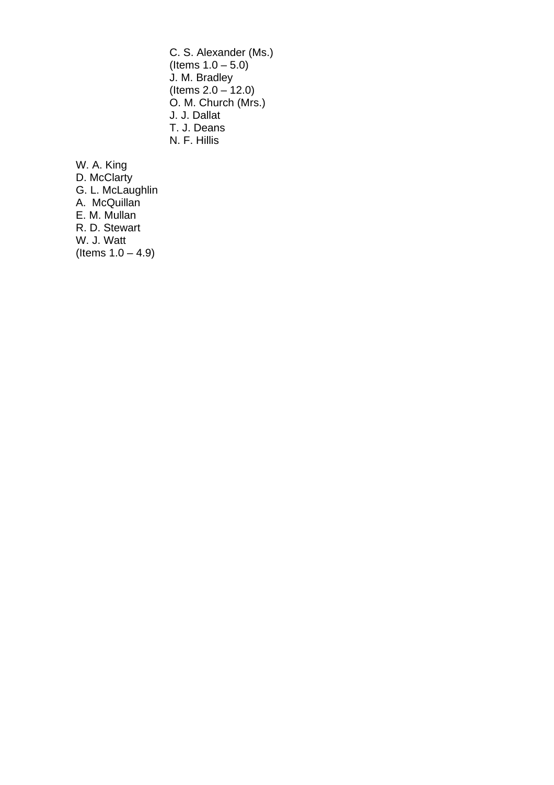C. S. Alexander (Ms.) (Items  $1.0 - 5.0$ ) J. M. Bradley (Items 2.0 – 12.0) O. M. Church (Mrs.) J. J. Dallat T. J. Deans N. F. Hillis

W. A. King D. McClarty G. L. McLaughlin A. McQuillan E. M. Mullan R. D. Stewart W. J. Watt (Items  $1.0 - 4.9$ )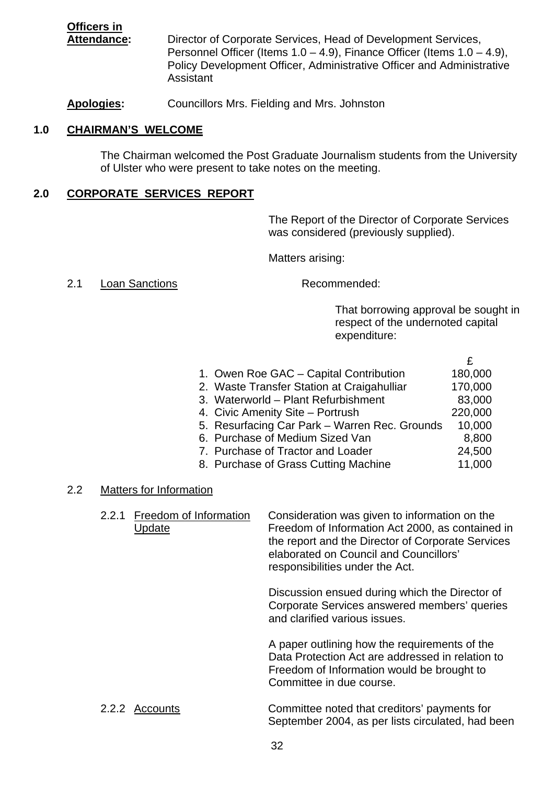**Officers in Attendance:** Director of Corporate Services, Head of Development Services, Personnel Officer (Items  $1.0 - 4.9$ ), Finance Officer (Items  $1.0 - 4.9$ ), Policy Development Officer, Administrative Officer and Administrative Assistant

**Apologies:** Councillors Mrs. Fielding and Mrs. Johnston

#### **1.0 CHAIRMAN'S WELCOME**

 The Chairman welcomed the Post Graduate Journalism students from the University of Ulster who were present to take notes on the meeting.

#### **2.0 CORPORATE SERVICES REPORT**

The Report of the Director of Corporate Services was considered (previously supplied).

Matters arising:

#### 2.1 Loan Sanctions Recommended:

That borrowing approval be sought in respect of the undernoted capital expenditure:

| 1. Owen Roe GAC – Capital Contribution        | 180,000 |
|-----------------------------------------------|---------|
| 2. Waste Transfer Station at Craigahulliar    | 170,000 |
| 3. Waterworld - Plant Refurbishment           | 83,000  |
| 4. Civic Amenity Site - Portrush              | 220,000 |
| 5. Resurfacing Car Park - Warren Rec. Grounds | 10,000  |
| 6. Purchase of Medium Sized Van               | 8,800   |
| 7. Purchase of Tractor and Loader             | 24,500  |
| 8. Purchase of Grass Cutting Machine          | 11,000  |
|                                               |         |

#### 2.2 Matters for Information

| 2.2.1 | Freedom of Information<br>Update | Consideration was given to information on the<br>Freedom of Information Act 2000, as contained in<br>the report and the Director of Corporate Services<br>elaborated on Council and Councillors'<br>responsibilities under the Act. |
|-------|----------------------------------|-------------------------------------------------------------------------------------------------------------------------------------------------------------------------------------------------------------------------------------|
|       |                                  | Discussion ensued during which the Director of<br>Corporate Services answered members' queries<br>and clarified various issues.                                                                                                     |
|       |                                  | A paper outlining how the requirements of the<br>Data Protection Act are addressed in relation to<br>Freedom of Information would be brought to<br>Committee in due course.                                                         |

#### 2.2.2 Accounts Committee noted that creditors' payments for September 2004, as per lists circulated, had been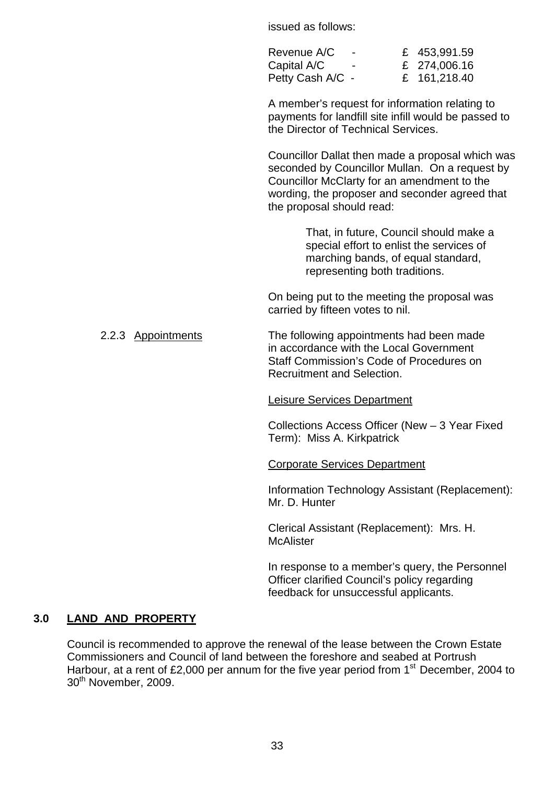issued as follows:

| Revenue A/C      |        | £ 453,991.59 |
|------------------|--------|--------------|
| Capital A/C      | $\sim$ | £ 274,006.16 |
| Petty Cash A/C - |        | £ 161,218.40 |

 A member's request for information relating to payments for landfill site infill would be passed to the Director of Technical Services.

Councillor Dallat then made a proposal which was seconded by Councillor Mullan. On a request by Councillor McClarty for an amendment to the wording, the proposer and seconder agreed that the proposal should read:

> That, in future, Council should make a special effort to enlist the services of marching bands, of equal standard, representing both traditions.

On being put to the meeting the proposal was carried by fifteen votes to nil.

 2.2.3 Appointments The following appointments had been made in accordance with the Local Government Staff Commission's Code of Procedures on Recruitment and Selection.

#### Leisure Services Department

 Collections Access Officer (New – 3 Year Fixed Term): Miss A. Kirkpatrick

#### Corporate Services Department

 Information Technology Assistant (Replacement): Mr. D. Hunter

 Clerical Assistant (Replacement): Mrs. H. **McAlister** 

 In response to a member's query, the Personnel Officer clarified Council's policy regarding feedback for unsuccessful applicants.

#### **3.0 LAND AND PROPERTY**

 Council is recommended to approve the renewal of the lease between the Crown Estate Commissioners and Council of land between the foreshore and seabed at Portrush Harbour, at a rent of £2,000 per annum for the five year period from  $1<sup>st</sup>$  December, 2004 to 30<sup>th</sup> November, 2009.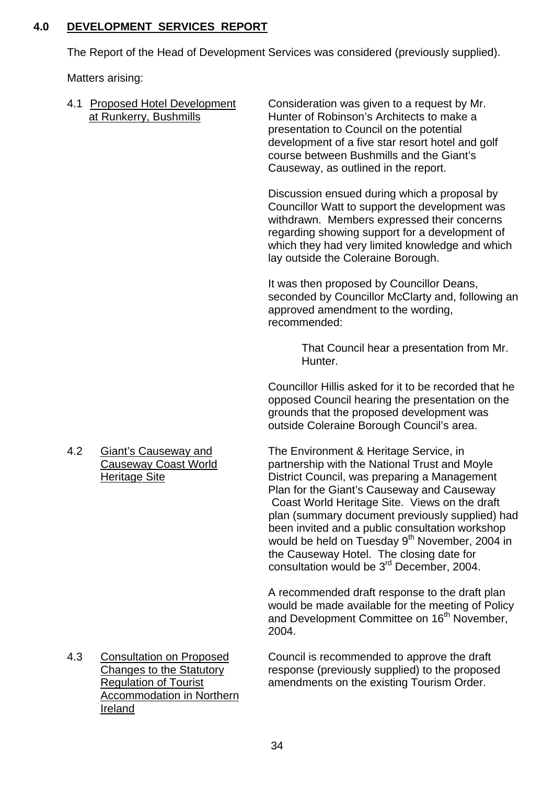## **4.0 DEVELOPMENT SERVICES REPORT**

The Report of the Head of Development Services was considered (previously supplied).

Matters arising:

|     | 4.1 Proposed Hotel Development<br>at Runkerry, Bushmills                                                                                                 | Consideration was given to a request by Mr.<br>Hunter of Robinson's Architects to make a<br>presentation to Council on the potential<br>development of a five star resort hotel and golf<br>course between Bushmills and the Giant's<br>Causeway, as outlined in the report.                                                                                                                                                                                                                                    |
|-----|----------------------------------------------------------------------------------------------------------------------------------------------------------|-----------------------------------------------------------------------------------------------------------------------------------------------------------------------------------------------------------------------------------------------------------------------------------------------------------------------------------------------------------------------------------------------------------------------------------------------------------------------------------------------------------------|
|     |                                                                                                                                                          | Discussion ensued during which a proposal by<br>Councillor Watt to support the development was<br>withdrawn. Members expressed their concerns<br>regarding showing support for a development of<br>which they had very limited knowledge and which<br>lay outside the Coleraine Borough.                                                                                                                                                                                                                        |
|     |                                                                                                                                                          | It was then proposed by Councillor Deans,<br>seconded by Councillor McClarty and, following an<br>approved amendment to the wording,<br>recommended:                                                                                                                                                                                                                                                                                                                                                            |
|     |                                                                                                                                                          | That Council hear a presentation from Mr.<br>Hunter.                                                                                                                                                                                                                                                                                                                                                                                                                                                            |
|     |                                                                                                                                                          | Councillor Hillis asked for it to be recorded that he<br>opposed Council hearing the presentation on the<br>grounds that the proposed development was<br>outside Coleraine Borough Council's area.                                                                                                                                                                                                                                                                                                              |
| 4.2 | <b>Giant's Causeway and</b><br><b>Causeway Coast World</b><br><b>Heritage Site</b>                                                                       | The Environment & Heritage Service, in<br>partnership with the National Trust and Moyle<br>District Council, was preparing a Management<br>Plan for the Giant's Causeway and Causeway<br>Coast World Heritage Site. Views on the draft<br>plan (summary document previously supplied) had<br>been invited and a public consultation workshop<br>would be held on Tuesday 9 <sup>th</sup> November, 2004 in<br>the Causeway Hotel. The closing date for<br>consultation would be 3 <sup>rd</sup> December, 2004. |
|     |                                                                                                                                                          | A recommended draft response to the draft plan<br>would be made available for the meeting of Policy<br>and Development Committee on 16 <sup>th</sup> November,<br>2004.                                                                                                                                                                                                                                                                                                                                         |
| 4.3 | <b>Consultation on Proposed</b><br><b>Changes to the Statutory</b><br><b>Regulation of Tourist</b><br><b>Accommodation in Northern</b><br><u>Ireland</u> | Council is recommended to approve the draft<br>response (previously supplied) to the proposed<br>amendments on the existing Tourism Order.                                                                                                                                                                                                                                                                                                                                                                      |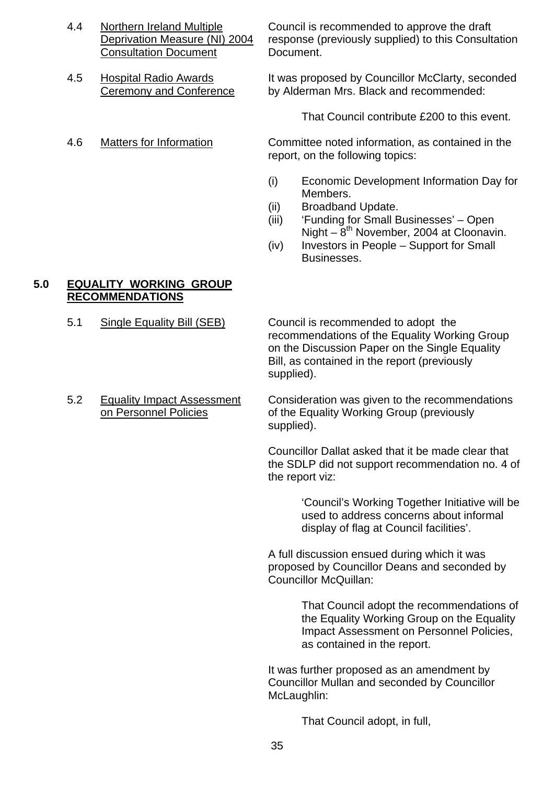- Consultation Document Document.
- 
- 

4.4 Northern Ireland Multiple Council is recommended to approve the draft Deprivation Measure (NI) 2004 response (previously supplied) to this Consultation

4.5 Hospital Radio Awards It was proposed by Councillor McClarty, seconded Ceremony and Conference by Alderman Mrs. Black and recommended:

That Council contribute £200 to this event.

 4.6 Matters for Information Committee noted information, as contained in the report, on the following topics:

- (i) Economic Development Information Day for Members.
- (ii) Broadband Update.
- (iii) 'Funding for Small Businesses' Open Night –  $8<sup>th</sup>$  November, 2004 at Cloonavin.
- (iv) Investors in People Support for Small Businesses.

## **5.0 EQUALITY WORKING GROUP RECOMMENDATIONS**

5.1 Single Equality Bill (SEB) Council is recommended to adopt the recommendations of the Equality Working Group on the Discussion Paper on the Single Equality Bill, as contained in the report (previously supplied).

5.2 Equality Impact Assessment Consideration was given to the recommendations on Personnel Policies of the Equality Working Group (previously supplied).

> Councillor Dallat asked that it be made clear that the SDLP did not support recommendation no. 4 of the report viz:

> > 'Council's Working Together Initiative will be used to address concerns about informal display of flag at Council facilities'.

A full discussion ensued during which it was proposed by Councillor Deans and seconded by Councillor McQuillan:

> That Council adopt the recommendations of the Equality Working Group on the Equality Impact Assessment on Personnel Policies, as contained in the report.

 It was further proposed as an amendment by Councillor Mullan and seconded by Councillor McLaughlin:

That Council adopt, in full,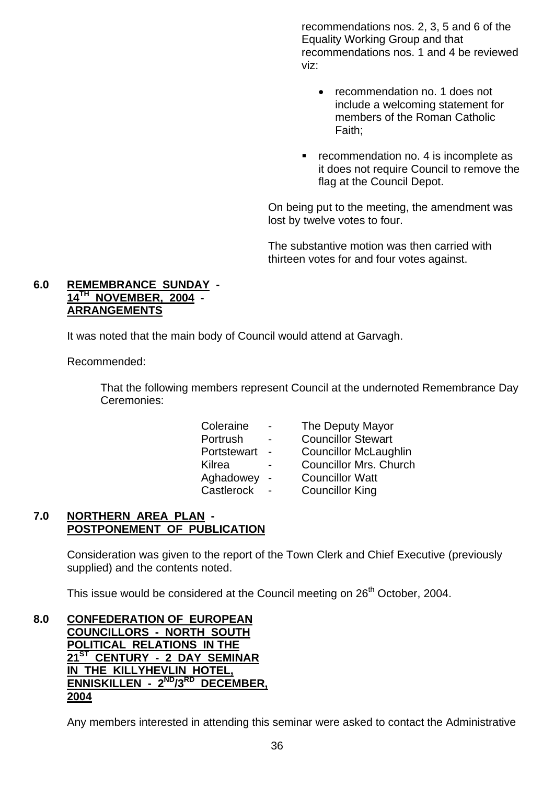recommendations nos. 2, 3, 5 and 6 of the Equality Working Group and that recommendations nos. 1 and 4 be reviewed viz:

- recommendation no. 1 does not include a welcoming statement for members of the Roman Catholic Faith;
- **•** recommendation no. 4 is incomplete as it does not require Council to remove the flag at the Council Depot.

On being put to the meeting, the amendment was lost by twelve votes to four.

The substantive motion was then carried with thirteen votes for and four votes against.

#### **6.0 REMEMBRANCE SUNDAY - 14TH NOVEMBER, 2004 - ARRANGEMENTS**

It was noted that the main body of Council would attend at Garvagh.

Recommended:

 That the following members represent Council at the undernoted Remembrance Day Ceremonies:

| Coleraine   |                          | The Deputy Mayor              |
|-------------|--------------------------|-------------------------------|
| Portrush    | $\overline{\phantom{0}}$ | <b>Councillor Stewart</b>     |
| Portstewart |                          | <b>Councillor McLaughlin</b>  |
| Kilrea      |                          | <b>Councillor Mrs. Church</b> |
| Aghadowey   | $\sim$                   | <b>Councillor Watt</b>        |
| Castlerock  |                          | <b>Councillor King</b>        |

## **7.0 NORTHERN AREA PLAN - POSTPONEMENT OF PUBLICATION**

 Consideration was given to the report of the Town Clerk and Chief Executive (previously supplied) and the contents noted.

This issue would be considered at the Council meeting on 26<sup>th</sup> October, 2004.

#### **8.0 CONFEDERATION OF EUROPEAN COUNCILLORS - NORTH SOUTH POLITICAL RELATIONS IN THE 21ST CENTURY - 2 DAY SEMINAR IN THE KILLYHEVLIN HOTEL, ENNISKILLEN - 2<sup>ND</sup>/3<sup>RD</sup> DECEMBER. 2004**

Any members interested in attending this seminar were asked to contact the Administrative